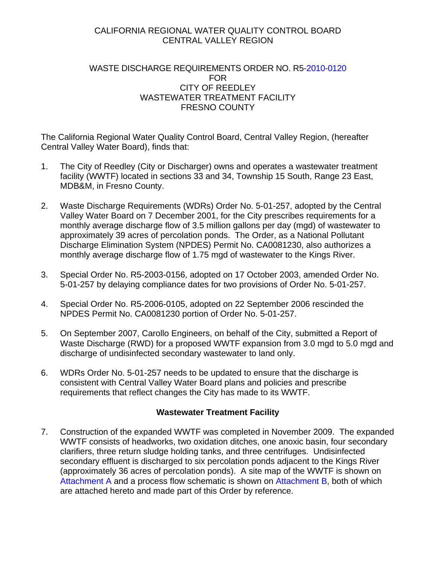## CALIFORNIA REGIONAL WATER QUALITY CONTROL BOARD CENTRAL VALLEY REGION

## WASTE DISCHARGE REQUIREMENTS ORDER NO. R5-2010-0120 FOR CITY OF REEDLEY WASTEWATER TREATMENT FACILITY FRESNO COUNTY

The California Regional Water Quality Control Board, Central Valley Region, (hereafter Central Valley Water Board), finds that:

- 1. The City of Reedley (City or Discharger) owns and operates a wastewater treatment facility (WWTF) located in sections 33 and 34, Township 15 South, Range 23 East, MDB&M, in Fresno County.
- 2. Waste Discharge Requirements (WDRs) Order No. 5-01-257, adopted by the Central Valley Water Board on 7 December 2001, for the City prescribes requirements for a monthly average discharge flow of 3.5 million gallons per day (mgd) of wastewater to approximately 39 acres of percolation ponds. The Order, as a National Pollutant Discharge Elimination System (NPDES) Permit No. CA0081230, also authorizes a monthly average discharge flow of 1.75 mgd of wastewater to the Kings River.
- 3. Special Order No. R5-2003-0156, adopted on 17 October 2003, amended Order No. 5-01-257 by delaying compliance dates for two provisions of Order No. 5-01-257.
- 4. Special Order No. R5-2006-0105, adopted on 22 September 2006 rescinded the NPDES Permit No. CA0081230 portion of Order No. 5-01-257.
- 5. On September 2007, Carollo Engineers, on behalf of the City, submitted a Report of Waste Discharge (RWD) for a proposed WWTF expansion from 3.0 mgd to 5.0 mgd and discharge of undisinfected secondary wastewater to land only.
- 6. WDRs Order No. 5-01-257 needs to be updated to ensure that the discharge is consistent with Central Valley Water Board plans and policies and prescribe requirements that reflect changes the City has made to its WWTF.

## **Wastewater Treatment Facility**

7. Construction of the expanded WWTF was completed in November 2009. The expanded WWTF consists of headworks, two oxidation ditches, one anoxic basin, four secondary clarifiers, three return sludge holding tanks, and three centrifuges. Undisinfected secondary effluent is discharged to six percolation ponds adjacent to the Kings River (approximately 36 acres of percolation ponds). A site map of the WWTF is shown on Attachment A and a process flow schematic is shown on Attachment B, both of which are attached hereto and made part of this Order by reference.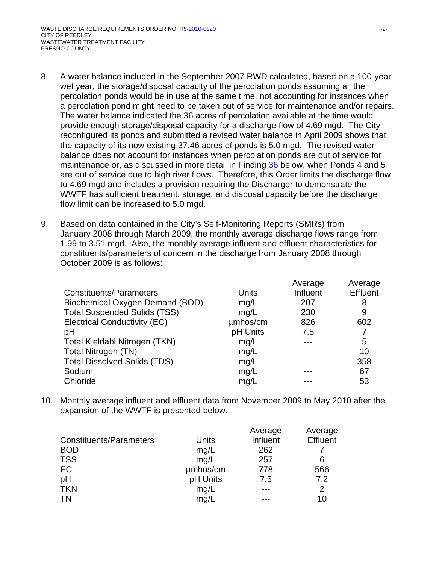- 8. A water balance included in the September 2007 RWD calculated, based on a 100-year wet year, the storage/disposal capacity of the percolation ponds assuming all the percolation ponds would be in use at the same time, not accounting for instances when a percolation pond might need to be taken out of service for maintenance and/or repairs. The water balance indicated the 36 acres of percolation available at the time would provide enough storage/disposal capacity for a discharge flow of 4.69 mgd. The City reconfigured its ponds and submitted a revised water balance in April 2009 shows that the capacity of its now existing 37.46 acres of ponds is 5.0 mgd. The revised water balance does not account for instances when percolation ponds are out of service for maintenance or, as discussed in more detail in Finding 36 below, when Ponds 4 and 5 are out of service due to high river flows. Therefore, this Order limits the discharge flow to 4.69 mgd and includes a provision requiring the Discharger to demonstrate the WWTF has sufficient treatment, storage, and disposal capacity before the discharge flow limit can be increased to 5.0 mgd.
- 9. Based on data contained in the City's Self-Monitoring Reports (SMRs) from January 2008 through March 2009, the monthly average discharge flows range from 1.99 to 3.51 mgd. Also, the monthly average influent and effluent characteristics for constituents/parameters of concern in the discharge from January 2008 through October 2009 is as follows:

|                                     |          | Average  | Average         |
|-------------------------------------|----------|----------|-----------------|
| <b>Constituents/Parameters</b>      | Units    | Influent | <b>Effluent</b> |
| Biochemical Oxygen Demand (BOD)     | mg/L     | 207      | 8               |
| <b>Total Suspended Solids (TSS)</b> | mg/L     | 230      | 9               |
| <b>Electrical Conductivity (EC)</b> | umhos/cm | 826      | 602             |
| pH                                  | pH Units | 7.5      |                 |
| Total Kjeldahl Nitrogen (TKN)       | mg/L     |          | 5               |
| Total Nitrogen (TN)                 | mg/L     |          | 10              |
| <b>Total Dissolved Solids (TDS)</b> | mg/L     |          | 358             |
| Sodium                              | mg/L     |          | 67              |
| Chloride                            | mg/L     |          | 53              |
|                                     |          |          |                 |

10. Monthly average influent and effluent data from November 2009 to May 2010 after the expansion of the WWTF is presented below.

|                                |          | Average  | Average         |
|--------------------------------|----------|----------|-----------------|
| <b>Constituents/Parameters</b> | Units    | Influent | <b>Effluent</b> |
| <b>BOD</b>                     | mg/L     | 262      |                 |
| <b>TSS</b>                     | mg/L     | 257      | 6               |
| EC                             | umhos/cm | 778      | 566             |
| pH                             | pH Units | 7.5      | 7.2             |
| <b>TKN</b>                     | mg/L     |          | $\overline{2}$  |
| <b>TN</b>                      | mg/L     |          | 10              |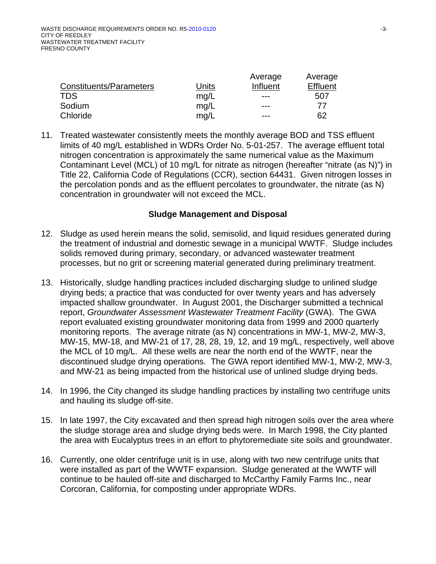|                         |       | Average  | Average         |
|-------------------------|-------|----------|-----------------|
| Constituents/Parameters | Units | Influent | <b>Effluent</b> |
| <b>TDS</b>              | mq/L  | ---      | 507             |
| Sodium                  | mq/L  | ---      | 77              |
| Chloride                | mq/L  | ---      | 62              |

11. Treated wastewater consistently meets the monthly average BOD and TSS effluent limits of 40 mg/L established in WDRs Order No. 5-01-257. The average effluent total nitrogen concentration is approximately the same numerical value as the Maximum Contaminant Level (MCL) of 10 mg/L for nitrate as nitrogen (hereafter "nitrate (as N)") in Title 22, California Code of Regulations (CCR), section 64431. Given nitrogen losses in the percolation ponds and as the effluent percolates to groundwater, the nitrate (as N) concentration in groundwater will not exceed the MCL.

### **Sludge Management and Disposal**

- 12. Sludge as used herein means the solid, semisolid, and liquid residues generated during the treatment of industrial and domestic sewage in a municipal WWTF. Sludge includes solids removed during primary, secondary, or advanced wastewater treatment processes, but no grit or screening material generated during preliminary treatment.
- 13. Historically, sludge handling practices included discharging sludge to unlined sludge drying beds; a practice that was conducted for over twenty years and has adversely impacted shallow groundwater. In August 2001, the Discharger submitted a technical report, *Groundwater Assessment Wastewater Treatment Facility* (GWA). The GWA report evaluated existing groundwater monitoring data from 1999 and 2000 quarterly monitoring reports. The average nitrate (as N) concentrations in MW-1, MW-2, MW-3, MW-15, MW-18, and MW-21 of 17, 28, 28, 19, 12, and 19 mg/L, respectively, well above the MCL of 10 mg/L. All these wells are near the north end of the WWTF, near the discontinued sludge drying operations. The GWA report identified MW-1, MW-2, MW-3, and MW-21 as being impacted from the historical use of unlined sludge drying beds.
- 14. In 1996, the City changed its sludge handling practices by installing two centrifuge units and hauling its sludge off-site.
- 15. In late 1997, the City excavated and then spread high nitrogen soils over the area where the sludge storage area and sludge drying beds were. In March 1998, the City planted the area with Eucalyptus trees in an effort to phytoremediate site soils and groundwater.
- 16. Currently, one older centrifuge unit is in use, along with two new centrifuge units that were installed as part of the WWTF expansion. Sludge generated at the WWTF will continue to be hauled off-site and discharged to McCarthy Family Farms Inc., near Corcoran, California, for composting under appropriate WDRs.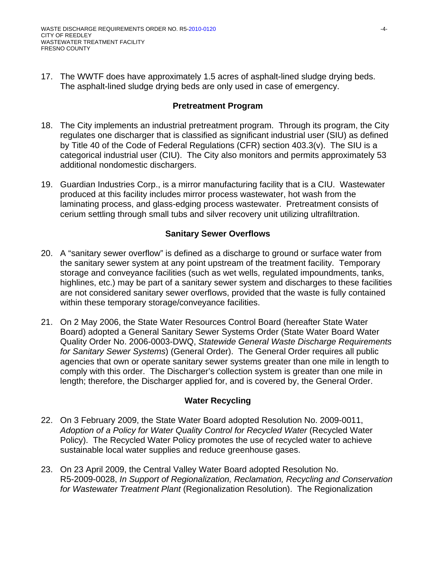17. The WWTF does have approximately 1.5 acres of asphalt-lined sludge drying beds. The asphalt-lined sludge drying beds are only used in case of emergency.

### **Pretreatment Program**

- 18. The City implements an industrial pretreatment program. Through its program, the City regulates one discharger that is classified as significant industrial user (SIU) as defined by Title 40 of the Code of Federal Regulations (CFR) section 403.3(v). The SIU is a categorical industrial user (CIU). The City also monitors and permits approximately 53 additional nondomestic dischargers.
- 19. Guardian Industries Corp., is a mirror manufacturing facility that is a CIU. Wastewater produced at this facility includes mirror process wastewater, hot wash from the laminating process, and glass-edging process wastewater. Pretreatment consists of cerium settling through small tubs and silver recovery unit utilizing ultrafiltration.

## **Sanitary Sewer Overflows**

- 20. A "sanitary sewer overflow" is defined as a discharge to ground or surface water from the sanitary sewer system at any point upstream of the treatment facility. Temporary storage and conveyance facilities (such as wet wells, regulated impoundments, tanks, highlines, etc.) may be part of a sanitary sewer system and discharges to these facilities are not considered sanitary sewer overflows, provided that the waste is fully contained within these temporary storage/conveyance facilities.
- 21. On 2 May 2006, the State Water Resources Control Board (hereafter State Water Board) adopted a General Sanitary Sewer Systems Order (State Water Board Water Quality Order No. 2006-0003-DWQ, *Statewide General Waste Discharge Requirements for Sanitary Sewer Systems*) (General Order). The General Order requires all public agencies that own or operate sanitary sewer systems greater than one mile in length to comply with this order. The Discharger's collection system is greater than one mile in length; therefore, the Discharger applied for, and is covered by, the General Order.

## **Water Recycling**

- 22. On 3 February 2009, the State Water Board adopted Resolution No. 2009-0011, *Adoption of a Policy for Water Quality Control for Recycled Water* (Recycled Water Policy). The Recycled Water Policy promotes the use of recycled water to achieve sustainable local water supplies and reduce greenhouse gases.
- 23. On 23 April 2009, the Central Valley Water Board adopted Resolution No. R5-2009-0028, *In Support of Regionalization, Reclamation, Recycling and Conservation for Wastewater Treatment Plant* (Regionalization Resolution). The Regionalization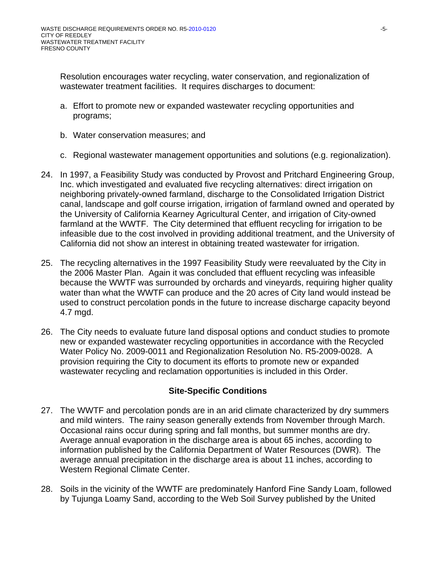Resolution encourages water recycling, water conservation, and regionalization of wastewater treatment facilities. It requires discharges to document:

- a. Effort to promote new or expanded wastewater recycling opportunities and programs;
- b. Water conservation measures; and
- c. Regional wastewater management opportunities and solutions (e.g. regionalization).
- 24. In 1997, a Feasibility Study was conducted by Provost and Pritchard Engineering Group, Inc. which investigated and evaluated five recycling alternatives: direct irrigation on neighboring privately-owned farmland, discharge to the Consolidated Irrigation District canal, landscape and golf course irrigation, irrigation of farmland owned and operated by the University of California Kearney Agricultural Center, and irrigation of City-owned farmland at the WWTF. The City determined that effluent recycling for irrigation to be infeasible due to the cost involved in providing additional treatment, and the University of California did not show an interest in obtaining treated wastewater for irrigation.
- 25. The recycling alternatives in the 1997 Feasibility Study were reevaluated by the City in the 2006 Master Plan. Again it was concluded that effluent recycling was infeasible because the WWTF was surrounded by orchards and vineyards, requiring higher quality water than what the WWTF can produce and the 20 acres of City land would instead be used to construct percolation ponds in the future to increase discharge capacity beyond 4.7 mgd.
- 26. The City needs to evaluate future land disposal options and conduct studies to promote new or expanded wastewater recycling opportunities in accordance with the Recycled Water Policy No. 2009-0011 and Regionalization Resolution No. R5-2009-0028. A provision requiring the City to document its efforts to promote new or expanded wastewater recycling and reclamation opportunities is included in this Order.

## **Site-Specific Conditions**

- 27. The WWTF and percolation ponds are in an arid climate characterized by dry summers and mild winters. The rainy season generally extends from November through March. Occasional rains occur during spring and fall months, but summer months are dry. Average annual evaporation in the discharge area is about 65 inches, according to information published by the California Department of Water Resources (DWR). The average annual precipitation in the discharge area is about 11 inches, according to Western Regional Climate Center.
- 28. Soils in the vicinity of the WWTF are predominately Hanford Fine Sandy Loam, followed by Tujunga Loamy Sand, according to the Web Soil Survey published by the United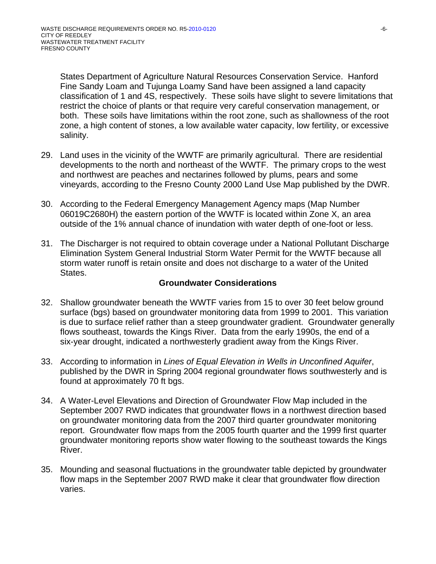States Department of Agriculture Natural Resources Conservation Service. Hanford Fine Sandy Loam and Tujunga Loamy Sand have been assigned a land capacity classification of 1 and 4S, respectively. These soils have slight to severe limitations that restrict the choice of plants or that require very careful conservation management, or both. These soils have limitations within the root zone, such as shallowness of the root zone, a high content of stones, a low available water capacity, low fertility, or excessive salinity.

- 29. Land uses in the vicinity of the WWTF are primarily agricultural. There are residential developments to the north and northeast of the WWTF. The primary crops to the west and northwest are peaches and nectarines followed by plums, pears and some vineyards, according to the Fresno County 2000 Land Use Map published by the DWR.
- 30. According to the Federal Emergency Management Agency maps (Map Number 06019C2680H) the eastern portion of the WWTF is located within Zone X, an area outside of the 1% annual chance of inundation with water depth of one-foot or less.
- 31. The Discharger is not required to obtain coverage under a National Pollutant Discharge Elimination System General Industrial Storm Water Permit for the WWTF because all storm water runoff is retain onsite and does not discharge to a water of the United States.

## **Groundwater Considerations**

- 32. Shallow groundwater beneath the WWTF varies from 15 to over 30 feet below ground surface (bgs) based on groundwater monitoring data from 1999 to 2001. This variation is due to surface relief rather than a steep groundwater gradient. Groundwater generally flows southeast, towards the Kings River. Data from the early 1990s, the end of a six-year drought, indicated a northwesterly gradient away from the Kings River.
- 33. According to information in *Lines of Equal Elevation in Wells in Unconfined Aquifer*, published by the DWR in Spring 2004 regional groundwater flows southwesterly and is found at approximately 70 ft bgs.
- 34. A Water-Level Elevations and Direction of Groundwater Flow Map included in the September 2007 RWD indicates that groundwater flows in a northwest direction based on groundwater monitoring data from the 2007 third quarter groundwater monitoring report. Groundwater flow maps from the 2005 fourth quarter and the 1999 first quarter groundwater monitoring reports show water flowing to the southeast towards the Kings River.
- 35. Mounding and seasonal fluctuations in the groundwater table depicted by groundwater flow maps in the September 2007 RWD make it clear that groundwater flow direction varies.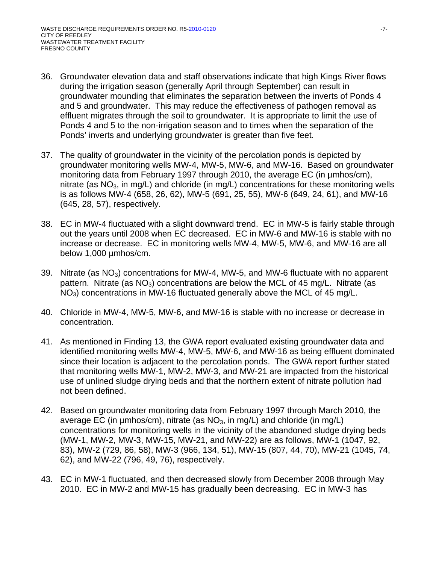- 36. Groundwater elevation data and staff observations indicate that high Kings River flows during the irrigation season (generally April through September) can result in groundwater mounding that eliminates the separation between the inverts of Ponds 4 and 5 and groundwater. This may reduce the effectiveness of pathogen removal as effluent migrates through the soil to groundwater. It is appropriate to limit the use of Ponds 4 and 5 to the non-irrigation season and to times when the separation of the Ponds' inverts and underlying groundwater is greater than five feet.
- 37. The quality of groundwater in the vicinity of the percolation ponds is depicted by groundwater monitoring wells MW-4, MW-5, MW-6, and MW-16. Based on groundwater monitoring data from February 1997 through 2010, the average EC (in µmhos/cm), nitrate (as  $NO<sub>3</sub>$ , in mg/L) and chloride (in mg/L) concentrations for these monitoring wells is as follows MW-4 (658, 26, 62), MW-5 (691, 25, 55), MW-6 (649, 24, 61), and MW-16 (645, 28, 57), respectively.
- 38. EC in MW-4 fluctuated with a slight downward trend. EC in MW-5 is fairly stable through out the years until 2008 when EC decreased. EC in MW-6 and MW-16 is stable with no increase or decrease. EC in monitoring wells MW-4, MW-5, MW-6, and MW-16 are all below 1,000 µmhos/cm.
- 39. Nitrate (as  $NO<sub>3</sub>$ ) concentrations for MW-4, MW-5, and MW-6 fluctuate with no apparent pattern. Nitrate (as  $NO<sub>3</sub>$ ) concentrations are below the MCL of 45 mg/L. Nitrate (as NO3) concentrations in MW-16 fluctuated generally above the MCL of 45 mg/L.
- 40. Chloride in MW-4, MW-5, MW-6, and MW-16 is stable with no increase or decrease in concentration.
- 41. As mentioned in Finding 13, the GWA report evaluated existing groundwater data and identified monitoring wells MW-4, MW-5, MW-6, and MW-16 as being effluent dominated since their location is adjacent to the percolation ponds. The GWA report further stated that monitoring wells MW-1, MW-2, MW-3, and MW-21 are impacted from the historical use of unlined sludge drying beds and that the northern extent of nitrate pollution had not been defined.
- 42. Based on groundwater monitoring data from February 1997 through March 2010, the average EC (in  $\mu$ mhos/cm), nitrate (as NO<sub>3</sub>, in mg/L) and chloride (in mg/L) concentrations for monitoring wells in the vicinity of the abandoned sludge drying beds (MW-1, MW-2, MW-3, MW-15, MW-21, and MW-22) are as follows, MW-1 (1047, 92, 83), MW-2 (729, 86, 58), MW-3 (966, 134, 51), MW-15 (807, 44, 70), MW-21 (1045, 74, 62), and MW-22 (796, 49, 76), respectively.
- 43. EC in MW-1 fluctuated, and then decreased slowly from December 2008 through May 2010. EC in MW-2 and MW-15 has gradually been decreasing. EC in MW-3 has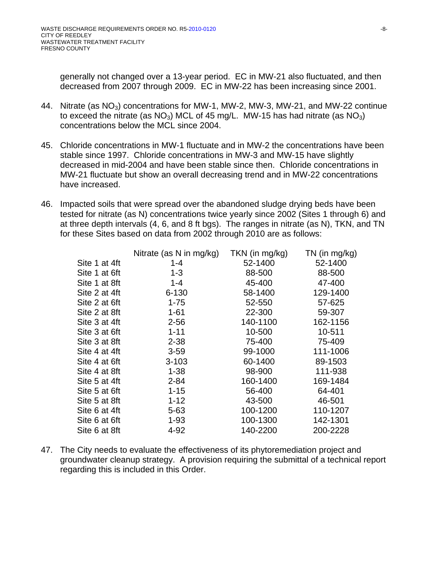generally not changed over a 13-year period. EC in MW-21 also fluctuated, and then decreased from 2007 through 2009. EC in MW-22 has been increasing since 2001.

- 44. Nitrate (as NO<sub>3</sub>) concentrations for MW-1, MW-2, MW-3, MW-21, and MW-22 continue to exceed the nitrate (as  $NO<sub>3</sub>$ ) MCL of 45 mg/L. MW-15 has had nitrate (as  $NO<sub>3</sub>$ ) concentrations below the MCL since 2004.
- 45. Chloride concentrations in MW-1 fluctuate and in MW-2 the concentrations have been stable since 1997. Chloride concentrations in MW-3 and MW-15 have slightly decreased in mid-2004 and have been stable since then. Chloride concentrations in MW-21 fluctuate but show an overall decreasing trend and in MW-22 concentrations have increased.
- 46. Impacted soils that were spread over the abandoned sludge drying beds have been tested for nitrate (as N) concentrations twice yearly since 2002 (Sites 1 through 6) and at three depth intervals (4, 6, and 8 ft bgs). The ranges in nitrate (as N), TKN, and TN for these Sites based on data from 2002 through 2010 are as follows:

|               | Nitrate (as N in mg/kg) | TKN (in mg/kg) | $TN$ (in mg/kg) |
|---------------|-------------------------|----------------|-----------------|
| Site 1 at 4ft | $1 - 4$                 | 52-1400        | 52-1400         |
| Site 1 at 6ft | $1 - 3$                 | 88-500         | 88-500          |
| Site 1 at 8ft | $1 - 4$                 | 45-400         | 47-400          |
| Site 2 at 4ft | $6 - 130$               | 58-1400        | 129-1400        |
| Site 2 at 6ft | $1 - 75$                | 52-550         | 57-625          |
| Site 2 at 8ft | $1 - 61$                | 22-300         | 59-307          |
| Site 3 at 4ft | $2 - 56$                | 140-1100       | 162-1156        |
| Site 3 at 6ft | $1 - 11$                | 10-500         | 10-511          |
| Site 3 at 8ft | $2 - 38$                | 75-400         | 75-409          |
| Site 4 at 4ft | $3 - 59$                | 99-1000        | 111-1006        |
| Site 4 at 6ft | $3 - 103$               | 60-1400        | 89-1503         |
| Site 4 at 8ft | $1 - 38$                | 98-900         | 111-938         |
| Site 5 at 4ft | $2 - 84$                | 160-1400       | 169-1484        |
| Site 5 at 6ft | $1 - 15$                | 56-400         | 64-401          |
| Site 5 at 8ft | $1 - 12$                | 43-500         | 46-501          |
| Site 6 at 4ft | $5 - 63$                | 100-1200       | 110-1207        |
| Site 6 at 6ft | $1 - 93$                | 100-1300       | 142-1301        |
| Site 6 at 8ft | 4-92                    | 140-2200       | 200-2228        |

47. The City needs to evaluate the effectiveness of its phytoremediation project and groundwater cleanup strategy. A provision requiring the submittal of a technical report regarding this is included in this Order.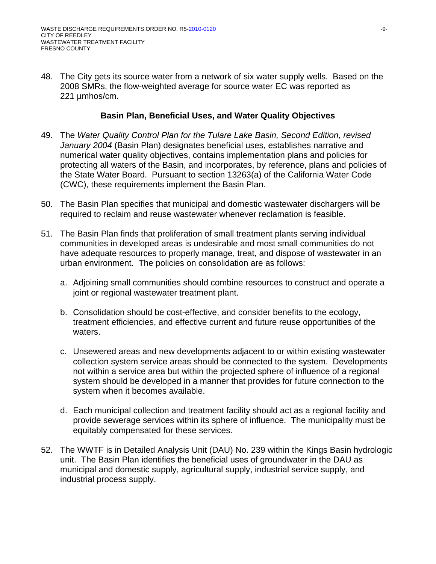48. The City gets its source water from a network of six water supply wells. Based on the 2008 SMRs, the flow-weighted average for source water EC was reported as 221 umhos/cm.

### **Basin Plan, Beneficial Uses, and Water Quality Objectives**

- 49. The *Water Quality Control Plan for the Tulare Lake Basin, Second Edition, revised January 2004* (Basin Plan) designates beneficial uses, establishes narrative and numerical water quality objectives, contains implementation plans and policies for protecting all waters of the Basin, and incorporates, by reference, plans and policies of the State Water Board. Pursuant to section 13263(a) of the California Water Code (CWC), these requirements implement the Basin Plan.
- 50. The Basin Plan specifies that municipal and domestic wastewater dischargers will be required to reclaim and reuse wastewater whenever reclamation is feasible.
- 51. The Basin Plan finds that proliferation of small treatment plants serving individual communities in developed areas is undesirable and most small communities do not have adequate resources to properly manage, treat, and dispose of wastewater in an urban environment. The policies on consolidation are as follows:
	- a. Adjoining small communities should combine resources to construct and operate a joint or regional wastewater treatment plant.
	- b. Consolidation should be cost-effective, and consider benefits to the ecology, treatment efficiencies, and effective current and future reuse opportunities of the waters.
	- c. Unsewered areas and new developments adjacent to or within existing wastewater collection system service areas should be connected to the system. Developments not within a service area but within the projected sphere of influence of a regional system should be developed in a manner that provides for future connection to the system when it becomes available.
	- d. Each municipal collection and treatment facility should act as a regional facility and provide sewerage services within its sphere of influence. The municipality must be equitably compensated for these services.
- 52. The WWTF is in Detailed Analysis Unit (DAU) No. 239 within the Kings Basin hydrologic unit. The Basin Plan identifies the beneficial uses of groundwater in the DAU as municipal and domestic supply, agricultural supply, industrial service supply, and industrial process supply.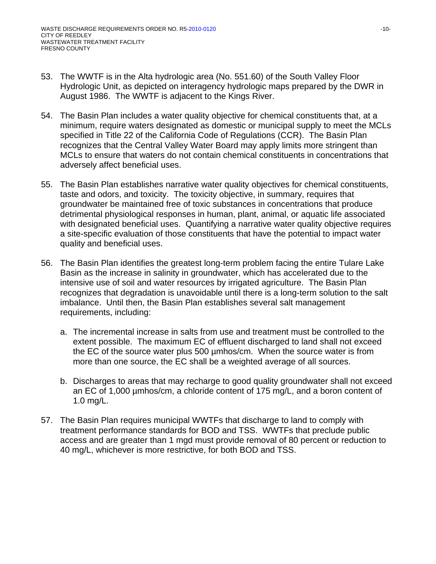- 53. The WWTF is in the Alta hydrologic area (No. 551.60) of the South Valley Floor Hydrologic Unit, as depicted on interagency hydrologic maps prepared by the DWR in August 1986. The WWTF is adjacent to the Kings River.
- 54. The Basin Plan includes a water quality objective for chemical constituents that, at a minimum, require waters designated as domestic or municipal supply to meet the MCLs specified in Title 22 of the California Code of Regulations (CCR). The Basin Plan recognizes that the Central Valley Water Board may apply limits more stringent than MCLs to ensure that waters do not contain chemical constituents in concentrations that adversely affect beneficial uses.
- 55. The Basin Plan establishes narrative water quality objectives for chemical constituents, taste and odors, and toxicity. The toxicity objective, in summary, requires that groundwater be maintained free of toxic substances in concentrations that produce detrimental physiological responses in human, plant, animal, or aquatic life associated with designated beneficial uses. Quantifying a narrative water quality objective requires a site-specific evaluation of those constituents that have the potential to impact water quality and beneficial uses.
- 56. The Basin Plan identifies the greatest long-term problem facing the entire Tulare Lake Basin as the increase in salinity in groundwater, which has accelerated due to the intensive use of soil and water resources by irrigated agriculture. The Basin Plan recognizes that degradation is unavoidable until there is a long-term solution to the salt imbalance. Until then, the Basin Plan establishes several salt management requirements, including:
	- a. The incremental increase in salts from use and treatment must be controlled to the extent possible. The maximum EC of effluent discharged to land shall not exceed the EC of the source water plus 500 µmhos/cm. When the source water is from more than one source, the EC shall be a weighted average of all sources.
	- b. Discharges to areas that may recharge to good quality groundwater shall not exceed an EC of 1,000 µmhos/cm, a chloride content of 175 mg/L, and a boron content of 1.0 mg/L.
- 57. The Basin Plan requires municipal WWTFs that discharge to land to comply with treatment performance standards for BOD and TSS. WWTFs that preclude public access and are greater than 1 mgd must provide removal of 80 percent or reduction to 40 mg/L, whichever is more restrictive, for both BOD and TSS.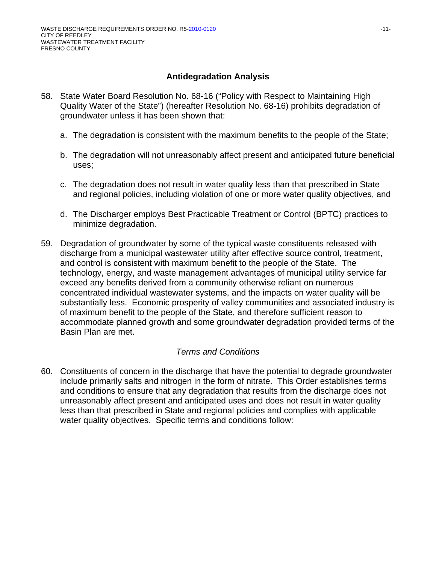# **Antidegradation Analysis**

- 58. State Water Board Resolution No. 68-16 ("Policy with Respect to Maintaining High Quality Water of the State") (hereafter Resolution No. 68-16) prohibits degradation of groundwater unless it has been shown that:
	- a. The degradation is consistent with the maximum benefits to the people of the State;
	- b. The degradation will not unreasonably affect present and anticipated future beneficial uses;
	- c. The degradation does not result in water quality less than that prescribed in State and regional policies, including violation of one or more water quality objectives, and
	- d. The Discharger employs Best Practicable Treatment or Control (BPTC) practices to minimize degradation.
- 59. Degradation of groundwater by some of the typical waste constituents released with discharge from a municipal wastewater utility after effective source control, treatment, and control is consistent with maximum benefit to the people of the State. The technology, energy, and waste management advantages of municipal utility service far exceed any benefits derived from a community otherwise reliant on numerous concentrated individual wastewater systems, and the impacts on water quality will be substantially less. Economic prosperity of valley communities and associated industry is of maximum benefit to the people of the State, and therefore sufficient reason to accommodate planned growth and some groundwater degradation provided terms of the Basin Plan are met.

# *Terms and Conditions*

60. Constituents of concern in the discharge that have the potential to degrade groundwater include primarily salts and nitrogen in the form of nitrate. This Order establishes terms and conditions to ensure that any degradation that results from the discharge does not unreasonably affect present and anticipated uses and does not result in water quality less than that prescribed in State and regional policies and complies with applicable water quality objectives. Specific terms and conditions follow: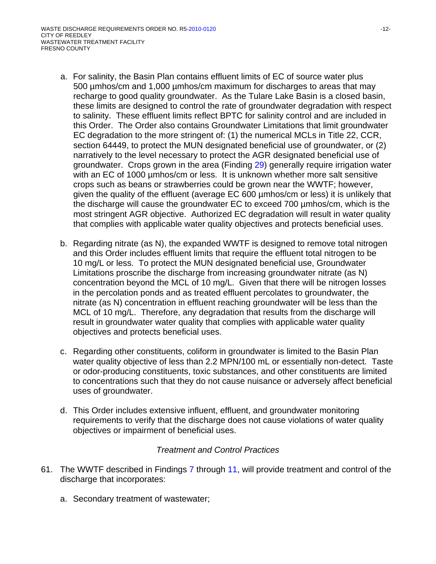- a. For salinity, the Basin Plan contains effluent limits of EC of source water plus 500 µmhos/cm and 1,000 µmhos/cm maximum for discharges to areas that may recharge to good quality groundwater. As the Tulare Lake Basin is a closed basin, these limits are designed to control the rate of groundwater degradation with respect to salinity. These effluent limits reflect BPTC for salinity control and are included in this Order. The Order also contains Groundwater Limitations that limit groundwater EC degradation to the more stringent of: (1) the numerical MCLs in Title 22, CCR, section 64449, to protect the MUN designated beneficial use of groundwater, or (2) narratively to the level necessary to protect the AGR designated beneficial use of groundwater. Crops grown in the area (Finding 29) generally require irrigation water with an EC of 1000 µmhos/cm or less. It is unknown whether more salt sensitive crops such as beans or strawberries could be grown near the WWTF; however, given the quality of the effluent (average EC 600 µmhos/cm or less) it is unlikely that the discharge will cause the groundwater EC to exceed 700 µmhos/cm, which is the most stringent AGR objective. Authorized EC degradation will result in water quality that complies with applicable water quality objectives and protects beneficial uses.
- b. Regarding nitrate (as N), the expanded WWTF is designed to remove total nitrogen and this Order includes effluent limits that require the effluent total nitrogen to be 10 mg/L or less. To protect the MUN designated beneficial use, Groundwater Limitations proscribe the discharge from increasing groundwater nitrate (as N) concentration beyond the MCL of 10 mg/L. Given that there will be nitrogen losses in the percolation ponds and as treated effluent percolates to groundwater, the nitrate (as N) concentration in effluent reaching groundwater will be less than the MCL of 10 mg/L. Therefore, any degradation that results from the discharge will result in groundwater water quality that complies with applicable water quality objectives and protects beneficial uses.
- c. Regarding other constituents, coliform in groundwater is limited to the Basin Plan water quality objective of less than 2.2 MPN/100 mL or essentially non-detect. Taste or odor-producing constituents, toxic substances, and other constituents are limited to concentrations such that they do not cause nuisance or adversely affect beneficial uses of groundwater.
- d. This Order includes extensive influent, effluent, and groundwater monitoring requirements to verify that the discharge does not cause violations of water quality objectives or impairment of beneficial uses.

## *Treatment and Control Practices*

- 61. The WWTF described in Findings 7 through 11, will provide treatment and control of the discharge that incorporates:
	- a. Secondary treatment of wastewater;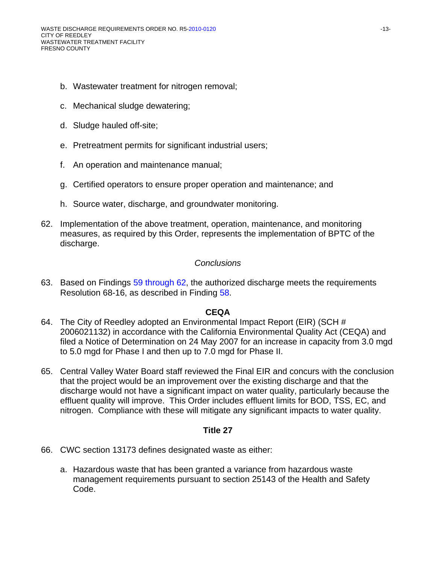- b. Wastewater treatment for nitrogen removal;
- c. Mechanical sludge dewatering;
- d. Sludge hauled off-site;
- e. Pretreatment permits for significant industrial users;
- f. An operation and maintenance manual;
- g. Certified operators to ensure proper operation and maintenance; and
- h. Source water, discharge, and groundwater monitoring.
- 62. Implementation of the above treatment, operation, maintenance, and monitoring measures, as required by this Order, represents the implementation of BPTC of the discharge.

#### *Conclusions*

63. Based on Findings 59 through 62, the authorized discharge meets the requirements Resolution 68-16, as described in Finding 58.

#### **CEQA**

- 64. The City of Reedley adopted an Environmental Impact Report (EIR) (SCH # 2006021132) in accordance with the California Environmental Quality Act (CEQA) and filed a Notice of Determination on 24 May 2007 for an increase in capacity from 3.0 mgd to 5.0 mgd for Phase I and then up to 7.0 mgd for Phase II.
- 65. Central Valley Water Board staff reviewed the Final EIR and concurs with the conclusion that the project would be an improvement over the existing discharge and that the discharge would not have a significant impact on water quality, particularly because the effluent quality will improve. This Order includes effluent limits for BOD, TSS, EC, and nitrogen. Compliance with these will mitigate any significant impacts to water quality.

## **Title 27**

- 66. CWC section 13173 defines designated waste as either:
	- a. Hazardous waste that has been granted a variance from hazardous waste management requirements pursuant to section 25143 of the Health and Safety Code.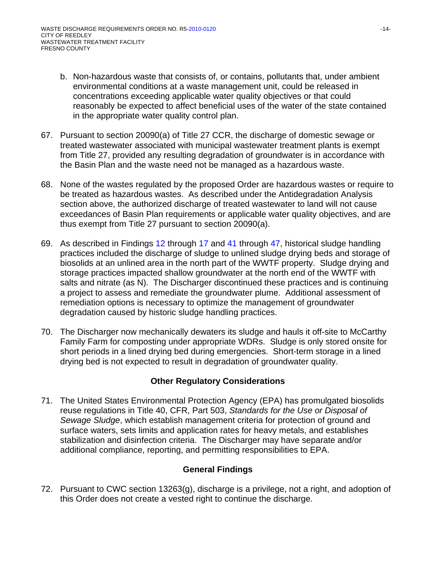- b. Non-hazardous waste that consists of, or contains, pollutants that, under ambient environmental conditions at a waste management unit, could be released in concentrations exceeding applicable water quality objectives or that could reasonably be expected to affect beneficial uses of the water of the state contained in the appropriate water quality control plan.
- 67. Pursuant to section 20090(a) of Title 27 CCR, the discharge of domestic sewage or treated wastewater associated with municipal wastewater treatment plants is exempt from Title 27, provided any resulting degradation of groundwater is in accordance with the Basin Plan and the waste need not be managed as a hazardous waste.
- 68. None of the wastes regulated by the proposed Order are hazardous wastes or require to be treated as hazardous wastes. As described under the Antidegradation Analysis section above, the authorized discharge of treated wastewater to land will not cause exceedances of Basin Plan requirements or applicable water quality objectives, and are thus exempt from Title 27 pursuant to section 20090(a).
- 69. As described in Findings 12 through 17 and 41 through 47, historical sludge handling practices included the discharge of sludge to unlined sludge drying beds and storage of biosolids at an unlined area in the north part of the WWTF property. Sludge drying and storage practices impacted shallow groundwater at the north end of the WWTF with salts and nitrate (as N). The Discharger discontinued these practices and is continuing a project to assess and remediate the groundwater plume. Additional assessment of remediation options is necessary to optimize the management of groundwater degradation caused by historic sludge handling practices.
- 70. The Discharger now mechanically dewaters its sludge and hauls it off-site to McCarthy Family Farm for composting under appropriate WDRs. Sludge is only stored onsite for short periods in a lined drying bed during emergencies. Short-term storage in a lined drying bed is not expected to result in degradation of groundwater quality.

# **Other Regulatory Considerations**

71. The United States Environmental Protection Agency (EPA) has promulgated biosolids reuse regulations in Title 40, CFR, Part 503, *Standards for the Use or Disposal of Sewage Sludge*, which establish management criteria for protection of ground and surface waters, sets limits and application rates for heavy metals, and establishes stabilization and disinfection criteria. The Discharger may have separate and/or additional compliance, reporting, and permitting responsibilities to EPA.

## **General Findings**

72. Pursuant to CWC section 13263(g), discharge is a privilege, not a right, and adoption of this Order does not create a vested right to continue the discharge.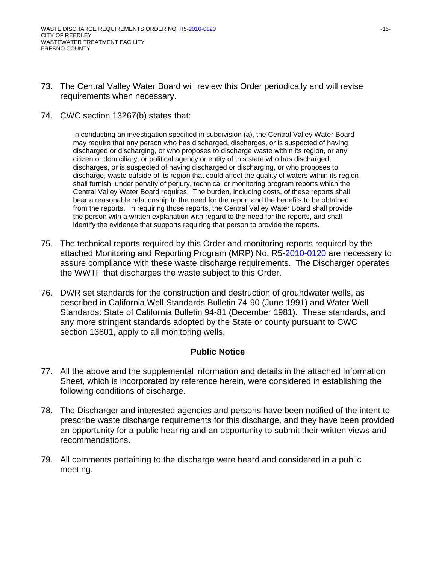- 73. The Central Valley Water Board will review this Order periodically and will revise requirements when necessary.
- 74. CWC section 13267(b) states that:

In conducting an investigation specified in subdivision (a), the Central Valley Water Board may require that any person who has discharged, discharges, or is suspected of having discharged or discharging, or who proposes to discharge waste within its region, or any citizen or domiciliary, or political agency or entity of this state who has discharged, discharges, or is suspected of having discharged or discharging, or who proposes to discharge, waste outside of its region that could affect the quality of waters within its region shall furnish, under penalty of perjury, technical or monitoring program reports which the Central Valley Water Board requires. The burden, including costs, of these reports shall bear a reasonable relationship to the need for the report and the benefits to be obtained from the reports. In requiring those reports, the Central Valley Water Board shall provide the person with a written explanation with regard to the need for the reports, and shall identify the evidence that supports requiring that person to provide the reports.

- 75. The technical reports required by this Order and monitoring reports required by the attached Monitoring and Reporting Program (MRP) No. R5-2010-0120 are necessary to assure compliance with these waste discharge requirements. The Discharger operates the WWTF that discharges the waste subject to this Order.
- 76. DWR set standards for the construction and destruction of groundwater wells, as described in California Well Standards Bulletin 74-90 (June 1991) and Water Well Standards: State of California Bulletin 94-81 (December 1981). These standards, and any more stringent standards adopted by the State or county pursuant to CWC section 13801, apply to all monitoring wells.

## **Public Notice**

- 77. All the above and the supplemental information and details in the attached Information Sheet, which is incorporated by reference herein, were considered in establishing the following conditions of discharge.
- 78. The Discharger and interested agencies and persons have been notified of the intent to prescribe waste discharge requirements for this discharge, and they have been provided an opportunity for a public hearing and an opportunity to submit their written views and recommendations.
- 79. All comments pertaining to the discharge were heard and considered in a public meeting.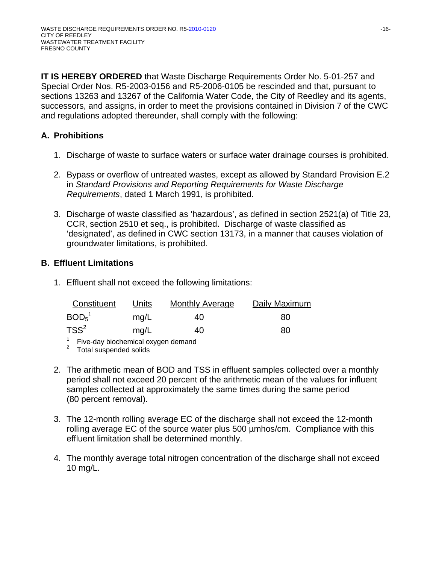**IT IS HEREBY ORDERED** that Waste Discharge Requirements Order No. 5-01-257 and Special Order Nos. R5-2003-0156 and R5-2006-0105 be rescinded and that, pursuant to sections 13263 and 13267 of the California Water Code, the City of Reedley and its agents, successors, and assigns, in order to meet the provisions contained in Division 7 of the CWC and regulations adopted thereunder, shall comply with the following:

# **A. Prohibitions**

- 1. Discharge of waste to surface waters or surface water drainage courses is prohibited.
- 2. Bypass or overflow of untreated wastes, except as allowed by Standard Provision E.2 in *Standard Provisions and Reporting Requirements for Waste Discharge Requirements*, dated 1 March 1991, is prohibited.
- 3. Discharge of waste classified as 'hazardous', as defined in section 2521(a) of Title 23, CCR, section 2510 et seq., is prohibited. Discharge of waste classified as 'designated', as defined in CWC section 13173, in a manner that causes violation of groundwater limitations, is prohibited.

# **B. Effluent Limitations**

1. Effluent shall not exceed the following limitations:

| Constituent                   | Units | <b>Monthly Average</b> | Daily Maximum |
|-------------------------------|-------|------------------------|---------------|
| BOD <sub>5</sub> <sup>1</sup> | mq/L  | 40                     | 80            |
| $TSS^2$                       | mg/L  | 40                     | 80            |

 $1$  Five-day biochemical oxygen demand

 $2^2$  Total suspended solids

- 2. The arithmetic mean of BOD and TSS in effluent samples collected over a monthly period shall not exceed 20 percent of the arithmetic mean of the values for influent samples collected at approximately the same times during the same period (80 percent removal).
- 3. The 12-month rolling average EC of the discharge shall not exceed the 12-month rolling average EC of the source water plus 500 µmhos/cm. Compliance with this effluent limitation shall be determined monthly.
- 4. The monthly average total nitrogen concentration of the discharge shall not exceed 10 mg/L.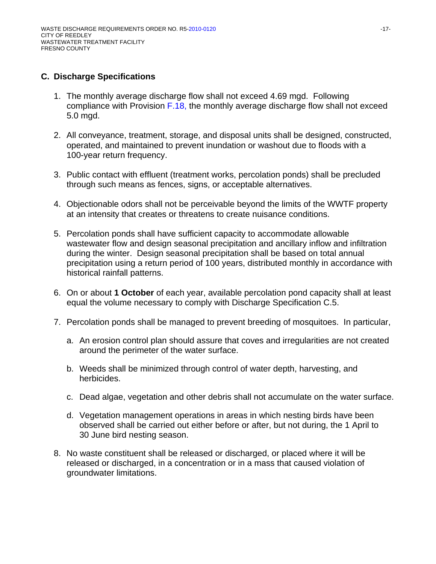## **C. Discharge Specifications**

- 1. The monthly average discharge flow shall not exceed 4.69 mgd. Following compliance with Provision F.18, the monthly average discharge flow shall not exceed 5.0 mgd.
- 2. All conveyance, treatment, storage, and disposal units shall be designed, constructed, operated, and maintained to prevent inundation or washout due to floods with a 100-year return frequency.
- 3. Public contact with effluent (treatment works, percolation ponds) shall be precluded through such means as fences, signs, or acceptable alternatives.
- 4. Objectionable odors shall not be perceivable beyond the limits of the WWTF property at an intensity that creates or threatens to create nuisance conditions.
- 5. Percolation ponds shall have sufficient capacity to accommodate allowable wastewater flow and design seasonal precipitation and ancillary inflow and infiltration during the winter. Design seasonal precipitation shall be based on total annual precipitation using a return period of 100 years, distributed monthly in accordance with historical rainfall patterns.
- 6. On or about **1 October** of each year, available percolation pond capacity shall at least equal the volume necessary to comply with Discharge Specification C.5.
- 7. Percolation ponds shall be managed to prevent breeding of mosquitoes. In particular,
	- a. An erosion control plan should assure that coves and irregularities are not created around the perimeter of the water surface.
	- b. Weeds shall be minimized through control of water depth, harvesting, and herbicides.
	- c. Dead algae, vegetation and other debris shall not accumulate on the water surface.
	- d. Vegetation management operations in areas in which nesting birds have been observed shall be carried out either before or after, but not during, the 1 April to 30 June bird nesting season.
- 8. No waste constituent shall be released or discharged, or placed where it will be released or discharged, in a concentration or in a mass that caused violation of groundwater limitations.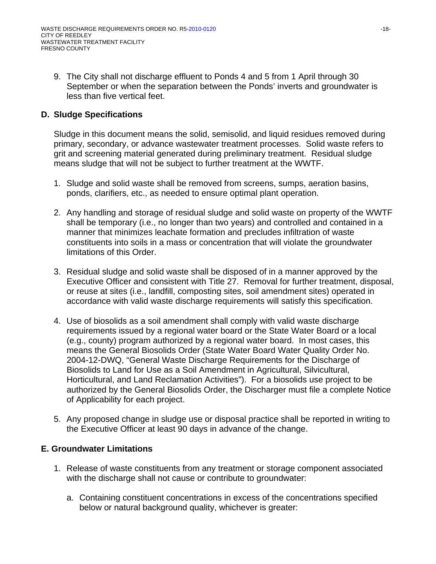9. The City shall not discharge effluent to Ponds 4 and 5 from 1 April through 30 September or when the separation between the Ponds' inverts and groundwater is less than five vertical feet.

# **D. Sludge Specifications**

Sludge in this document means the solid, semisolid, and liquid residues removed during primary, secondary, or advance wastewater treatment processes. Solid waste refers to grit and screening material generated during preliminary treatment. Residual sludge means sludge that will not be subject to further treatment at the WWTF.

- 1. Sludge and solid waste shall be removed from screens, sumps, aeration basins, ponds, clarifiers, etc., as needed to ensure optimal plant operation.
- 2. Any handling and storage of residual sludge and solid waste on property of the WWTF shall be temporary (i.e., no longer than two years) and controlled and contained in a manner that minimizes leachate formation and precludes infiltration of waste constituents into soils in a mass or concentration that will violate the groundwater limitations of this Order.
- 3. Residual sludge and solid waste shall be disposed of in a manner approved by the Executive Officer and consistent with Title 27. Removal for further treatment, disposal, or reuse at sites (i.e., landfill, composting sites, soil amendment sites) operated in accordance with valid waste discharge requirements will satisfy this specification.
- 4. Use of biosolids as a soil amendment shall comply with valid waste discharge requirements issued by a regional water board or the State Water Board or a local (e.g., county) program authorized by a regional water board. In most cases, this means the General Biosolids Order (State Water Board Water Quality Order No. 2004-12-DWQ, "General Waste Discharge Requirements for the Discharge of Biosolids to Land for Use as a Soil Amendment in Agricultural, Silvicultural, Horticultural, and Land Reclamation Activities"). For a biosolids use project to be authorized by the General Biosolids Order, the Discharger must file a complete Notice of Applicability for each project.
- 5. Any proposed change in sludge use or disposal practice shall be reported in writing to the Executive Officer at least 90 days in advance of the change.

## **E. Groundwater Limitations**

- 1. Release of waste constituents from any treatment or storage component associated with the discharge shall not cause or contribute to groundwater:
	- a. Containing constituent concentrations in excess of the concentrations specified below or natural background quality, whichever is greater: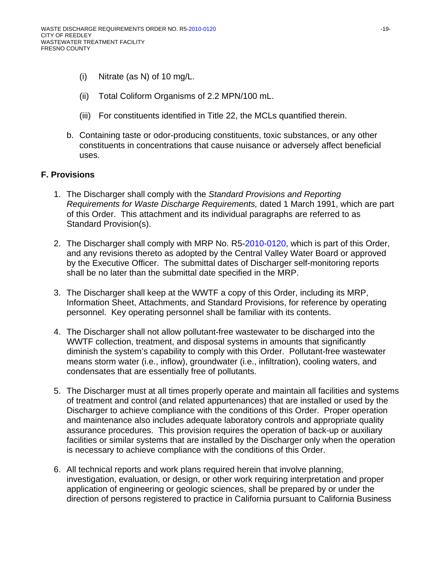- (i) Nitrate (as N) of 10 mg/L.
- (ii) Total Coliform Organisms of 2.2 MPN/100 mL.
- (iii) For constituents identified in Title 22, the MCLs quantified therein.
- b. Containing taste or odor-producing constituents, toxic substances, or any other constituents in concentrations that cause nuisance or adversely affect beneficial uses.

# **F. Provisions**

- 1. The Discharger shall comply with the *Standard Provisions and Reporting Requirements for Waste Discharge Requirements,* dated 1 March 1991, which are part of this Order. This attachment and its individual paragraphs are referred to as Standard Provision(s).
- 2. The Discharger shall comply with MRP No. R5-2010-0120, which is part of this Order, and any revisions thereto as adopted by the Central Valley Water Board or approved by the Executive Officer. The submittal dates of Discharger self-monitoring reports shall be no later than the submittal date specified in the MRP.
- 3. The Discharger shall keep at the WWTF a copy of this Order, including its MRP, Information Sheet, Attachments, and Standard Provisions, for reference by operating personnel. Key operating personnel shall be familiar with its contents.
- 4. The Discharger shall not allow pollutant-free wastewater to be discharged into the WWTF collection, treatment, and disposal systems in amounts that significantly diminish the system's capability to comply with this Order. Pollutant-free wastewater means storm water (i.e., inflow), groundwater (i.e., infiltration), cooling waters, and condensates that are essentially free of pollutants.
- 5. The Discharger must at all times properly operate and maintain all facilities and systems of treatment and control (and related appurtenances) that are installed or used by the Discharger to achieve compliance with the conditions of this Order. Proper operation and maintenance also includes adequate laboratory controls and appropriate quality assurance procedures. This provision requires the operation of back-up or auxiliary facilities or similar systems that are installed by the Discharger only when the operation is necessary to achieve compliance with the conditions of this Order.
- 6. All technical reports and work plans required herein that involve planning, investigation, evaluation, or design, or other work requiring interpretation and proper application of engineering or geologic sciences, shall be prepared by or under the direction of persons registered to practice in California pursuant to California Business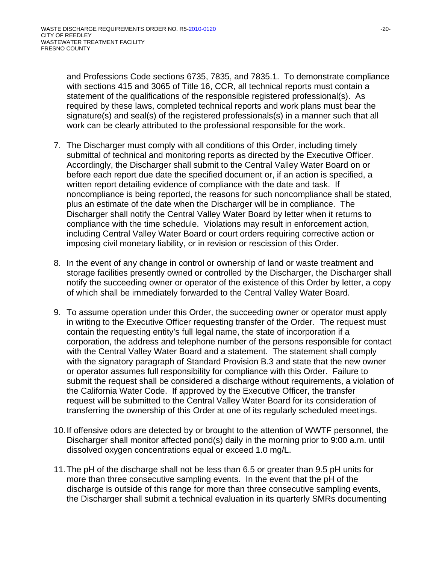and Professions Code sections 6735, 7835, and 7835.1. To demonstrate compliance with sections 415 and 3065 of Title 16, CCR, all technical reports must contain a statement of the qualifications of the responsible registered professional(s). As required by these laws, completed technical reports and work plans must bear the signature(s) and seal(s) of the registered professionals(s) in a manner such that all work can be clearly attributed to the professional responsible for the work.

- 7. The Discharger must comply with all conditions of this Order, including timely submittal of technical and monitoring reports as directed by the Executive Officer. Accordingly, the Discharger shall submit to the Central Valley Water Board on or before each report due date the specified document or, if an action is specified, a written report detailing evidence of compliance with the date and task. If noncompliance is being reported, the reasons for such noncompliance shall be stated, plus an estimate of the date when the Discharger will be in compliance. The Discharger shall notify the Central Valley Water Board by letter when it returns to compliance with the time schedule. Violations may result in enforcement action, including Central Valley Water Board or court orders requiring corrective action or imposing civil monetary liability, or in revision or rescission of this Order.
- 8. In the event of any change in control or ownership of land or waste treatment and storage facilities presently owned or controlled by the Discharger, the Discharger shall notify the succeeding owner or operator of the existence of this Order by letter, a copy of which shall be immediately forwarded to the Central Valley Water Board.
- 9. To assume operation under this Order, the succeeding owner or operator must apply in writing to the Executive Officer requesting transfer of the Order. The request must contain the requesting entity's full legal name, the state of incorporation if a corporation, the address and telephone number of the persons responsible for contact with the Central Valley Water Board and a statement. The statement shall comply with the signatory paragraph of Standard Provision B.3 and state that the new owner or operator assumes full responsibility for compliance with this Order. Failure to submit the request shall be considered a discharge without requirements, a violation of the California Water Code. If approved by the Executive Officer, the transfer request will be submitted to the Central Valley Water Board for its consideration of transferring the ownership of this Order at one of its regularly scheduled meetings.
- 10. If offensive odors are detected by or brought to the attention of WWTF personnel, the Discharger shall monitor affected pond(s) daily in the morning prior to 9:00 a.m. until dissolved oxygen concentrations equal or exceed 1.0 mg/L.
- 11. The pH of the discharge shall not be less than 6.5 or greater than 9.5 pH units for more than three consecutive sampling events. In the event that the pH of the discharge is outside of this range for more than three consecutive sampling events, the Discharger shall submit a technical evaluation in its quarterly SMRs documenting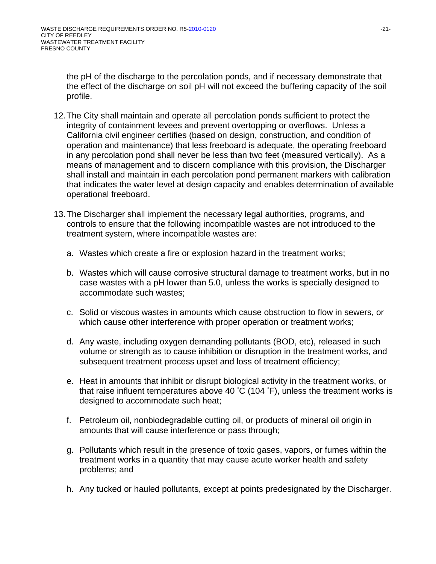the pH of the discharge to the percolation ponds, and if necessary demonstrate that the effect of the discharge on soil pH will not exceed the buffering capacity of the soil profile.

- 12. The City shall maintain and operate all percolation ponds sufficient to protect the integrity of containment levees and prevent overtopping or overflows. Unless a California civil engineer certifies (based on design, construction, and condition of operation and maintenance) that less freeboard is adequate, the operating freeboard in any percolation pond shall never be less than two feet (measured vertically). As a means of management and to discern compliance with this provision, the Discharger shall install and maintain in each percolation pond permanent markers with calibration that indicates the water level at design capacity and enables determination of available operational freeboard.
- 13. The Discharger shall implement the necessary legal authorities, programs, and controls to ensure that the following incompatible wastes are not introduced to the treatment system, where incompatible wastes are:
	- a. Wastes which create a fire or explosion hazard in the treatment works;
	- b. Wastes which will cause corrosive structural damage to treatment works, but in no case wastes with a pH lower than 5.0, unless the works is specially designed to accommodate such wastes;
	- c. Solid or viscous wastes in amounts which cause obstruction to flow in sewers, or which cause other interference with proper operation or treatment works;
	- d. Any waste, including oxygen demanding pollutants (BOD, etc), released in such volume or strength as to cause inhibition or disruption in the treatment works, and subsequent treatment process upset and loss of treatment efficiency;
	- e. Heat in amounts that inhibit or disrupt biological activity in the treatment works, or that raise influent temperatures above 40 °C (104 °F), unless the treatment works is designed to accommodate such heat;
	- f. Petroleum oil, nonbiodegradable cutting oil, or products of mineral oil origin in amounts that will cause interference or pass through;
	- g. Pollutants which result in the presence of toxic gases, vapors, or fumes within the treatment works in a quantity that may cause acute worker health and safety problems; and
	- h. Any tucked or hauled pollutants, except at points predesignated by the Discharger.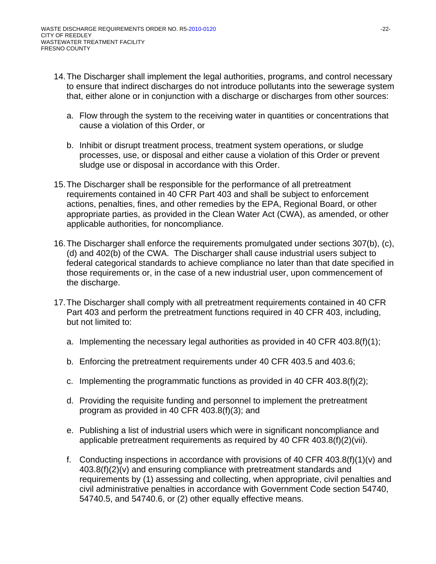- 14. The Discharger shall implement the legal authorities, programs, and control necessary to ensure that indirect discharges do not introduce pollutants into the sewerage system that, either alone or in conjunction with a discharge or discharges from other sources:
	- a. Flow through the system to the receiving water in quantities or concentrations that cause a violation of this Order, or
	- b. Inhibit or disrupt treatment process, treatment system operations, or sludge processes, use, or disposal and either cause a violation of this Order or prevent sludge use or disposal in accordance with this Order.
- 15. The Discharger shall be responsible for the performance of all pretreatment requirements contained in 40 CFR Part 403 and shall be subject to enforcement actions, penalties, fines, and other remedies by the EPA, Regional Board, or other appropriate parties, as provided in the Clean Water Act (CWA), as amended, or other applicable authorities, for noncompliance.
- 16. The Discharger shall enforce the requirements promulgated under sections 307(b), (c), (d) and 402(b) of the CWA. The Discharger shall cause industrial users subject to federal categorical standards to achieve compliance no later than that date specified in those requirements or, in the case of a new industrial user, upon commencement of the discharge.
- 17. The Discharger shall comply with all pretreatment requirements contained in 40 CFR Part 403 and perform the pretreatment functions required in 40 CFR 403, including, but not limited to:
	- a. Implementing the necessary legal authorities as provided in 40 CFR 403.8(f)(1);
	- b. Enforcing the pretreatment requirements under 40 CFR 403.5 and 403.6;
	- c. Implementing the programmatic functions as provided in 40 CFR  $403.8(f)(2)$ ;
	- d. Providing the requisite funding and personnel to implement the pretreatment program as provided in 40 CFR 403.8(f)(3); and
	- e. Publishing a list of industrial users which were in significant noncompliance and applicable pretreatment requirements as required by 40 CFR 403.8(f)(2)(vii).
	- f. Conducting inspections in accordance with provisions of 40 CFR  $403.8(f)(1)(v)$  and 403.8(f)(2)(v) and ensuring compliance with pretreatment standards and requirements by (1) assessing and collecting, when appropriate, civil penalties and civil administrative penalties in accordance with Government Code section 54740, 54740.5, and 54740.6, or (2) other equally effective means.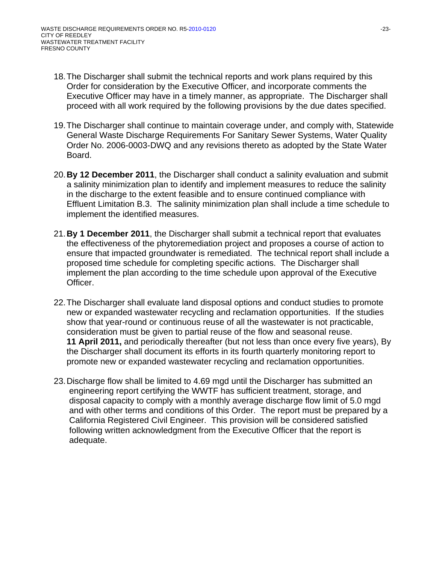- 18. The Discharger shall submit the technical reports and work plans required by this Order for consideration by the Executive Officer, and incorporate comments the Executive Officer may have in a timely manner, as appropriate. The Discharger shall proceed with all work required by the following provisions by the due dates specified.
- 19. The Discharger shall continue to maintain coverage under, and comply with, Statewide General Waste Discharge Requirements For Sanitary Sewer Systems, Water Quality Order No. 2006-0003-DWQ and any revisions thereto as adopted by the State Water Board.
- 20.**By 12 December 2011**, the Discharger shall conduct a salinity evaluation and submit a salinity minimization plan to identify and implement measures to reduce the salinity in the discharge to the extent feasible and to ensure continued compliance with Effluent Limitation B.3. The salinity minimization plan shall include a time schedule to implement the identified measures.
- 21.**By 1 December 2011**, the Discharger shall submit a technical report that evaluates the effectiveness of the phytoremediation project and proposes a course of action to ensure that impacted groundwater is remediated. The technical report shall include a proposed time schedule for completing specific actions. The Discharger shall implement the plan according to the time schedule upon approval of the Executive Officer.
- 22. The Discharger shall evaluate land disposal options and conduct studies to promote new or expanded wastewater recycling and reclamation opportunities. If the studies show that year-round or continuous reuse of all the wastewater is not practicable, consideration must be given to partial reuse of the flow and seasonal reuse. **11 April 2011,** and periodically thereafter (but not less than once every five years), By the Discharger shall document its efforts in its fourth quarterly monitoring report to promote new or expanded wastewater recycling and reclamation opportunities.
- 23. Discharge flow shall be limited to 4.69 mgd until the Discharger has submitted an engineering report certifying the WWTF has sufficient treatment, storage, and disposal capacity to comply with a monthly average discharge flow limit of 5.0 mgd and with other terms and conditions of this Order. The report must be prepared by a California Registered Civil Engineer. This provision will be considered satisfied following written acknowledgment from the Executive Officer that the report is adequate.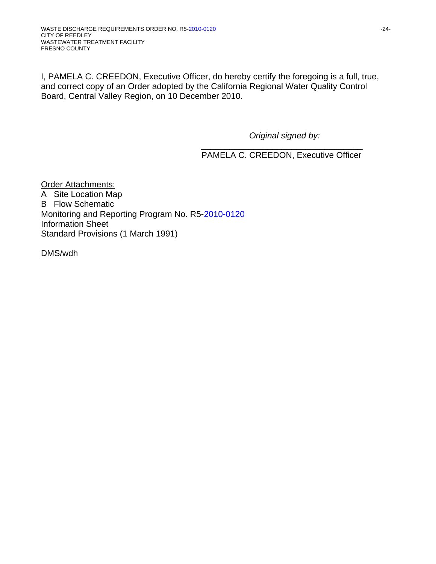I, PAMELA C. CREEDON, Executive Officer, do hereby certify the foregoing is a full, true, and correct copy of an Order adopted by the California Regional Water Quality Control Board, Central Valley Region, on 10 December 2010.

*Original signed by:* 

 $\overline{\phantom{a}}$  ,  $\overline{\phantom{a}}$  ,  $\overline{\phantom{a}}$  ,  $\overline{\phantom{a}}$  ,  $\overline{\phantom{a}}$  ,  $\overline{\phantom{a}}$  ,  $\overline{\phantom{a}}$  ,  $\overline{\phantom{a}}$  ,  $\overline{\phantom{a}}$  ,  $\overline{\phantom{a}}$  ,  $\overline{\phantom{a}}$  ,  $\overline{\phantom{a}}$  ,  $\overline{\phantom{a}}$  ,  $\overline{\phantom{a}}$  ,  $\overline{\phantom{a}}$  ,  $\overline{\phantom{a}}$ PAMELA C. CREEDON, Executive Officer

Order Attachments: A Site Location Map B Flow Schematic Monitoring and Reporting Program No. R5-2010-0120 Information Sheet Standard Provisions (1 March 1991)

DMS/wdh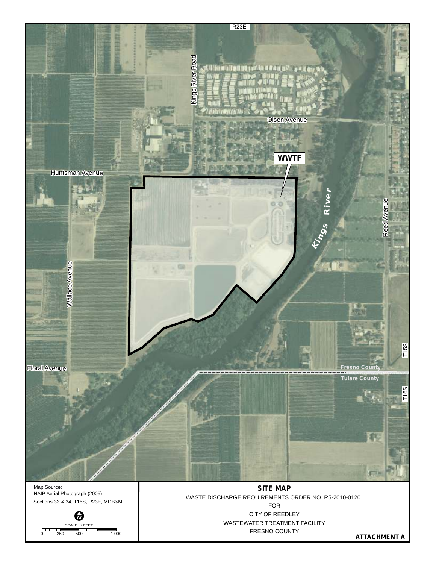

₹. SCALE IN FEET 0 250 500 1,000 WASTEWATER TREATMENT FACILITY FRESNO COUNTY

**ATTACHMENT A**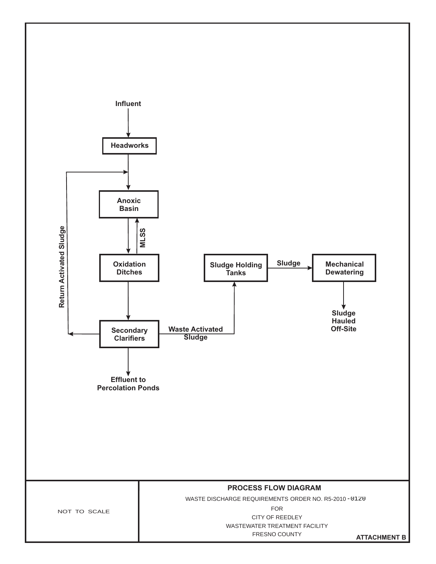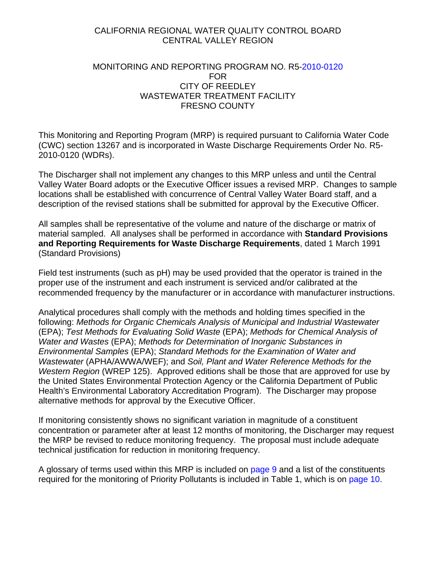### CALIFORNIA REGIONAL WATER QUALITY CONTROL BOARD CENTRAL VALLEY REGION

## MONITORING AND REPORTING PROGRAM NO. R5-2010-0120 FOR CITY OF REEDLEY WASTEWATER TREATMENT FACILITY FRESNO COUNTY

This Monitoring and Reporting Program (MRP) is required pursuant to California Water Code (CWC) section 13267 and is incorporated in Waste Discharge Requirements Order No. R5- 2010-0120 (WDRs).

The Discharger shall not implement any changes to this MRP unless and until the Central Valley Water Board adopts or the Executive Officer issues a revised MRP. Changes to sample locations shall be established with concurrence of Central Valley Water Board staff, and a description of the revised stations shall be submitted for approval by the Executive Officer.

All samples shall be representative of the volume and nature of the discharge or matrix of material sampled. All analyses shall be performed in accordance with **Standard Provisions and Reporting Requirements for Waste Discharge Requirements**, dated 1 March 1991 (Standard Provisions)

Field test instruments (such as pH) may be used provided that the operator is trained in the proper use of the instrument and each instrument is serviced and/or calibrated at the recommended frequency by the manufacturer or in accordance with manufacturer instructions.

Analytical procedures shall comply with the methods and holding times specified in the following: *Methods for Organic Chemicals Analysis of Municipal and Industrial Wastewater* (EPA); *Test Methods for Evaluating Solid Waste* (EPA); *Methods for Chemical Analysis of Water and Wastes* (EPA); *Methods for Determination of Inorganic Substances in Environmental Samples* (EPA); *Standard Methods for the Examination of Water and Wastewater* (APHA/AWWA/WEF); and *Soil, Plant and Water Reference Methods for the Western Region* (WREP 125). Approved editions shall be those that are approved for use by the United States Environmental Protection Agency or the California Department of Public Health's Environmental Laboratory Accreditation Program). The Discharger may propose alternative methods for approval by the Executive Officer.

If monitoring consistently shows no significant variation in magnitude of a constituent concentration or parameter after at least 12 months of monitoring, the Discharger may request the MRP be revised to reduce monitoring frequency. The proposal must include adequate technical justification for reduction in monitoring frequency.

A glossary of terms used within this MRP is included on page 9 and a list of the constituents required for the monitoring of Priority Pollutants is included in Table 1, which is on page 10.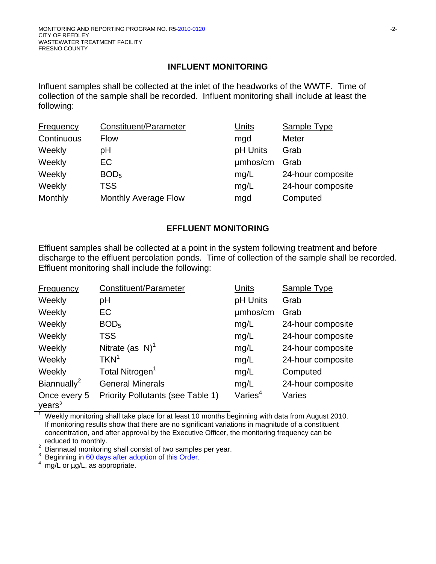### **INFLUENT MONITORING**

Influent samples shall be collected at the inlet of the headworks of the WWTF. Time of collection of the sample shall be recorded. Influent monitoring shall include at least the following:

| Constituent/Parameter       | Units    | <b>Sample Type</b> |
|-----------------------------|----------|--------------------|
| <b>Flow</b>                 | mgd      | Meter              |
| рH                          | pH Units | Grab               |
| EC.                         | umhos/cm | Grab               |
| BOD <sub>5</sub>            | mg/L     | 24-hour composite  |
| <b>TSS</b>                  | mg/L     | 24-hour composite  |
| <b>Monthly Average Flow</b> | mgd      | Computed           |
|                             |          |                    |

# **EFFLUENT MONITORING**

Effluent samples shall be collected at a point in the system following treatment and before discharge to the effluent percolation ponds. Time of collection of the sample shall be recorded. Effluent monitoring shall include the following:

| <b>Frequency</b>                   | Constituent/Parameter             | Units               | <b>Sample Type</b> |
|------------------------------------|-----------------------------------|---------------------|--------------------|
| Weekly                             | рH                                | pH Units            | Grab               |
| Weekly                             | EC                                | umhos/cm            | Grab               |
| Weekly                             | BOD <sub>5</sub>                  | mg/L                | 24-hour composite  |
| Weekly                             | <b>TSS</b>                        | mg/L                | 24-hour composite  |
| Weekly                             | Nitrate (as $N$ ) <sup>1</sup>    | mg/L                | 24-hour composite  |
| Weekly                             | TKN <sup>1</sup>                  | mg/L                | 24-hour composite  |
| Weekly                             | Total Nitrogen <sup>1</sup>       | mg/L                | Computed           |
| Biannually <sup>2</sup>            | <b>General Minerals</b>           | mg/L                | 24-hour composite  |
| Once every 5<br>years <sup>3</sup> | Priority Pollutants (see Table 1) | Varies <sup>4</sup> | Varies             |

1 Weekly monitoring shall take place for at least 10 months beginning with data from August 2010. If monitoring results show that there are no significant variations in magnitude of a constituent concentration, and after approval by the Executive Officer, the monitoring frequency can be reduced to monthly.

Biannaual monitoring shall consist of two samples per year.

3 Beginning in 60 days after adoption of this Order.

 $4 \frac{12.5}{10}$  or  $\mu$ g/L, as appropriate.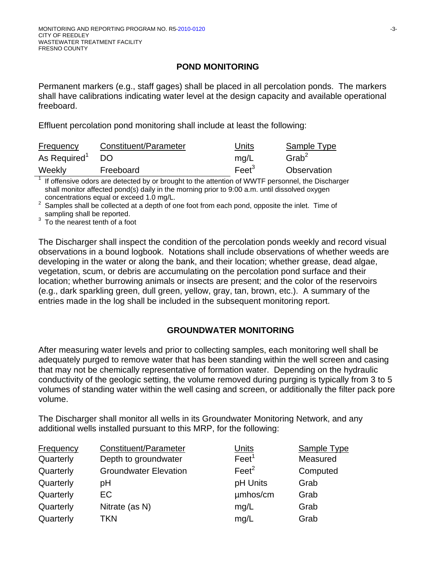# **POND MONITORING**

Permanent markers (e.g., staff gages) shall be placed in all percolation ponds. The markers shall have calibrations indicating water level at the design capacity and available operational freeboard.

Effluent percolation pond monitoring shall include at least the following:

| Frequency                | Constituent/Parameter | Units           | Sample Type          |
|--------------------------|-----------------------|-----------------|----------------------|
| As Required <sup>1</sup> | DO.                   | mg/L            | $G$ rab <sup>2</sup> |
| Weekly                   | Freeboard             | Fe <sup>3</sup> | Observation          |

1 If offensive odors are detected by or brought to the attention of WWTF personnel, the Discharger shall monitor affected pond(s) daily in the morning prior to 9:00 a.m. until dissolved oxygen concentrations equal or exceed 1.0 mg/L.<br> $\frac{2}{3}$  Samples shall be collected at a donth of a

 Samples shall be collected at a depth of one foot from each pond, opposite the inlet. Time of sampling shall be reported.

 $3$  To the nearest tenth of a foot

The Discharger shall inspect the condition of the percolation ponds weekly and record visual observations in a bound logbook. Notations shall include observations of whether weeds are developing in the water or along the bank, and their location; whether grease, dead algae, vegetation, scum, or debris are accumulating on the percolation pond surface and their location; whether burrowing animals or insects are present; and the color of the reservoirs (e.g., dark sparkling green, dull green, yellow, gray, tan, brown, etc.). A summary of the entries made in the log shall be included in the subsequent monitoring report.

# **GROUNDWATER MONITORING**

After measuring water levels and prior to collecting samples, each monitoring well shall be adequately purged to remove water that has been standing within the well screen and casing that may not be chemically representative of formation water. Depending on the hydraulic conductivity of the geologic setting, the volume removed during purging is typically from 3 to 5 volumes of standing water within the well casing and screen, or additionally the filter pack pore volume.

The Discharger shall monitor all wells in its Groundwater Monitoring Network, and any additional wells installed pursuant to this MRP, for the following:

| <b>Frequency</b> | Constituent/Parameter        | Units             | <b>Samp</b> |
|------------------|------------------------------|-------------------|-------------|
| Quarterly        | Depth to groundwater         | Feet <sup>1</sup> | Meas        |
| Quarterly        | <b>Groundwater Elevation</b> | $\text{Feet}^2$   | Comp        |
| Quarterly        | рH                           | pH Units          | Grab        |
| Quarterly        | EC.                          | umhos/cm          | Grab        |
| Quarterly        | Nitrate (as N)               | mg/L              | Grab        |
| Quarterly        | TKN                          | mg/L              | Grab        |

Units Sample Type  $\text{Feet}^1$  Measured  $\text{Feet}^2$  Computed pH Units Grab umhos/cm Grab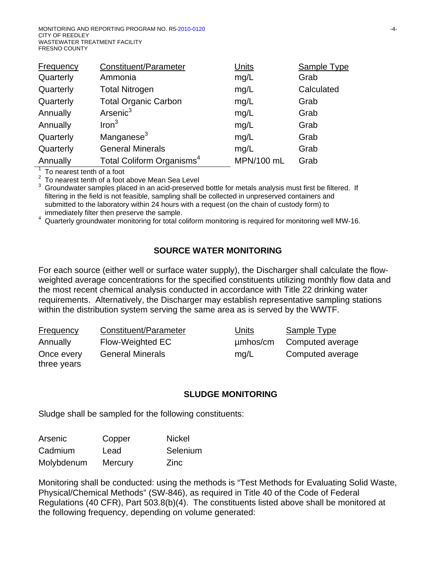| Frequency | Constituent/Parameter                 | Units      | Sample Type |
|-----------|---------------------------------------|------------|-------------|
| Quarterly | Ammonia                               | mg/L       | Grab        |
| Quarterly | <b>Total Nitrogen</b>                 | mg/L       | Calculated  |
| Quarterly | <b>Total Organic Carbon</b>           | mg/L       | Grab        |
| Annually  | Arsenic <sup>3</sup>                  | mg/L       | Grab        |
| Annually  | Iron <sup>3</sup>                     | mg/L       | Grab        |
| Quarterly | Manganese <sup>3</sup>                | mg/L       | Grab        |
| Quarterly | <b>General Minerals</b>               | mg/L       | Grab        |
| Annually  | Total Coliform Organisms <sup>4</sup> | MPN/100 mL | Grab        |

<sup>1</sup> To nearest tenth of a foot

 $\frac{2}{3}$  To nearest tenth of a foot above Mean Sea Level

 Groundwater samples placed in an acid-preserved bottle for metals analysis must first be filtered. If filtering in the field is not feasible, sampling shall be collected in unpreserved containers and submitted to the laboratory within 24 hours with a request (on the chain of custody form) to immediately filter then preserve the sample.

Quarterly groundwater monitoring for total coliform monitoring is required for monitoring well MW-16.

## **SOURCE WATER MONITORING**

For each source (either well or surface water supply), the Discharger shall calculate the flowweighted average concentrations for the specified constituents utilizing monthly flow data and the most recent chemical analysis conducted in accordance with Title 22 drinking water requirements. Alternatively, the Discharger may establish representative sampling stations within the distribution system serving the same area as is served by the WWTF.

| <b>Frequency</b>          | Constituent/Parameter   | <u>Units</u> | <b>Sample Type</b> |
|---------------------------|-------------------------|--------------|--------------------|
| Annually                  | Flow-Weighted EC        | $µm$ hos/cm  | Computed average   |
| Once every<br>three years | <b>General Minerals</b> | mq/L         | Computed average   |

#### **SLUDGE MONITORING**

Sludge shall be sampled for the following constituents:

| Arsenic    | Copper  | <b>Nickel</b> |
|------------|---------|---------------|
| Cadmium    | Lead    | Selenium      |
| Molybdenum | Mercury | Zinc          |

Monitoring shall be conducted: using the methods is "Test Methods for Evaluating Solid Waste, Physical/Chemical Methods" (SW-846), as required in Title 40 of the Code of Federal Regulations (40 CFR), Part 503.8(b)(4). The constituents listed above shall be monitored at the following frequency, depending on volume generated: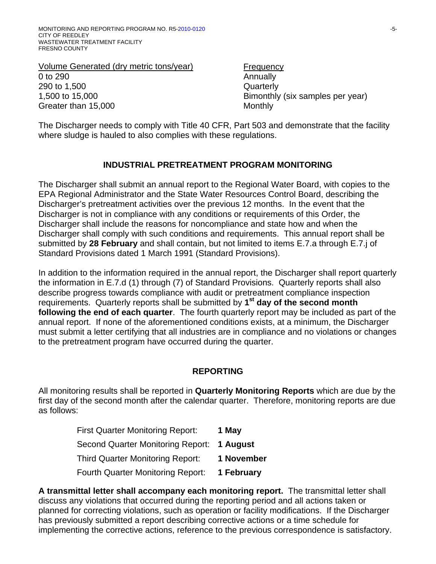Volume Generated (dry metric tons/year) Frequency 0 to 290 Annually 290 to 1,500 Quarterly 1,500 to 15,000 Bimonthly (six samples per year) Greater than 15,000 Monthly

The Discharger needs to comply with Title 40 CFR, Part 503 and demonstrate that the facility where sludge is hauled to also complies with these regulations.

# **INDUSTRIAL PRETREATMENT PROGRAM MONITORING**

The Discharger shall submit an annual report to the Regional Water Board, with copies to the EPA Regional Administrator and the State Water Resources Control Board, describing the Discharger's pretreatment activities over the previous 12 months. In the event that the Discharger is not in compliance with any conditions or requirements of this Order, the Discharger shall include the reasons for noncompliance and state how and when the Discharger shall comply with such conditions and requirements. This annual report shall be submitted by **28 February** and shall contain, but not limited to items E.7.a through E.7.j of Standard Provisions dated 1 March 1991 (Standard Provisions).

In addition to the information required in the annual report, the Discharger shall report quarterly the information in E.7.d (1) through (7) of Standard Provisions. Quarterly reports shall also describe progress towards compliance with audit or pretreatment compliance inspection requirements. Quarterly reports shall be submitted by **1st day of the second month following the end of each quarter**. The fourth quarterly report may be included as part of the annual report. If none of the aforementioned conditions exists, at a minimum, the Discharger must submit a letter certifying that all industries are in compliance and no violations or changes to the pretreatment program have occurred during the quarter.

## **REPORTING**

All monitoring results shall be reported in **Quarterly Monitoring Reports** which are due by the first day of the second month after the calendar quarter. Therefore, monitoring reports are due as follows:

| <b>First Quarter Monitoring Report:</b>    | 1 May      |
|--------------------------------------------|------------|
| Second Quarter Monitoring Report: 1 August |            |
| <b>Third Quarter Monitoring Report:</b>    | 1 November |
| <b>Fourth Quarter Monitoring Report:</b>   | 1 February |

**A transmittal letter shall accompany each monitoring report.** The transmittal letter shall discuss any violations that occurred during the reporting period and all actions taken or planned for correcting violations, such as operation or facility modifications. If the Discharger has previously submitted a report describing corrective actions or a time schedule for implementing the corrective actions, reference to the previous correspondence is satisfactory.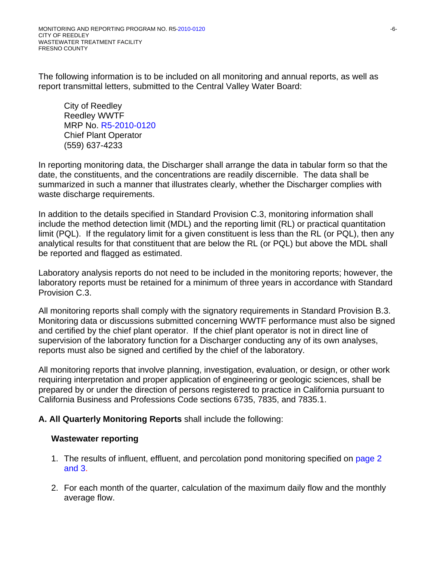The following information is to be included on all monitoring and annual reports, as well as report transmittal letters, submitted to the Central Valley Water Board:

City of Reedley Reedley WWTF MRP No. R5-2010-0120 Chief Plant Operator (559) 637-4233

In reporting monitoring data, the Discharger shall arrange the data in tabular form so that the date, the constituents, and the concentrations are readily discernible. The data shall be summarized in such a manner that illustrates clearly, whether the Discharger complies with waste discharge requirements.

In addition to the details specified in Standard Provision C.3, monitoring information shall include the method detection limit (MDL) and the reporting limit (RL) or practical quantitation limit (PQL). If the regulatory limit for a given constituent is less than the RL (or PQL), then any analytical results for that constituent that are below the RL (or PQL) but above the MDL shall be reported and flagged as estimated.

Laboratory analysis reports do not need to be included in the monitoring reports; however, the laboratory reports must be retained for a minimum of three years in accordance with Standard Provision C.3.

All monitoring reports shall comply with the signatory requirements in Standard Provision B.3. Monitoring data or discussions submitted concerning WWTF performance must also be signed and certified by the chief plant operator. If the chief plant operator is not in direct line of supervision of the laboratory function for a Discharger conducting any of its own analyses, reports must also be signed and certified by the chief of the laboratory.

All monitoring reports that involve planning, investigation, evaluation, or design, or other work requiring interpretation and proper application of engineering or geologic sciences, shall be prepared by or under the direction of persons registered to practice in California pursuant to California Business and Professions Code sections 6735, 7835, and 7835.1.

# **A. All Quarterly Monitoring Reports** shall include the following:

## **Wastewater reporting**

- 1. The results of influent, effluent, and percolation pond monitoring specified on page 2 and 3.
- 2. For each month of the quarter, calculation of the maximum daily flow and the monthly average flow.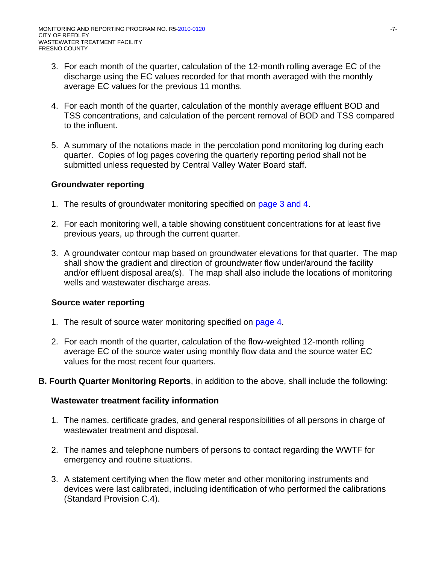- 3. For each month of the quarter, calculation of the 12-month rolling average EC of the discharge using the EC values recorded for that month averaged with the monthly average EC values for the previous 11 months.
- 4. For each month of the quarter, calculation of the monthly average effluent BOD and TSS concentrations, and calculation of the percent removal of BOD and TSS compared to the influent.
- 5. A summary of the notations made in the percolation pond monitoring log during each quarter. Copies of log pages covering the quarterly reporting period shall not be submitted unless requested by Central Valley Water Board staff.

## **Groundwater reporting**

- 1. The results of groundwater monitoring specified on page 3 and 4.
- 2. For each monitoring well, a table showing constituent concentrations for at least five previous years, up through the current quarter.
- 3. A groundwater contour map based on groundwater elevations for that quarter. The map shall show the gradient and direction of groundwater flow under/around the facility and/or effluent disposal area(s). The map shall also include the locations of monitoring wells and wastewater discharge areas.

## **Source water reporting**

- 1. The result of source water monitoring specified on page 4.
- 2. For each month of the quarter, calculation of the flow-weighted 12-month rolling average EC of the source water using monthly flow data and the source water EC values for the most recent four quarters.
- **B. Fourth Quarter Monitoring Reports**, in addition to the above, shall include the following:

## **Wastewater treatment facility information**

- 1. The names, certificate grades, and general responsibilities of all persons in charge of wastewater treatment and disposal.
- 2. The names and telephone numbers of persons to contact regarding the WWTF for emergency and routine situations.
- 3. A statement certifying when the flow meter and other monitoring instruments and devices were last calibrated, including identification of who performed the calibrations (Standard Provision C.4).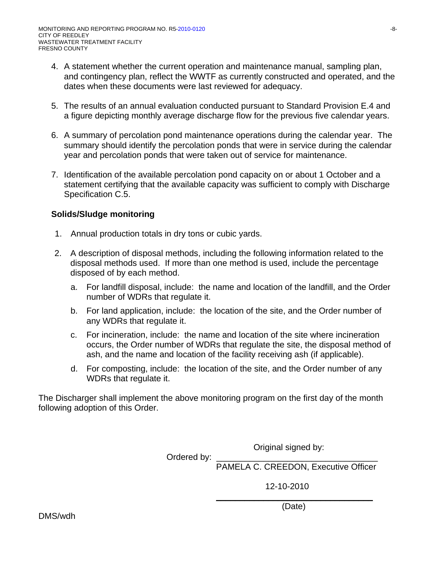- 4. A statement whether the current operation and maintenance manual, sampling plan, and contingency plan, reflect the WWTF as currently constructed and operated, and the dates when these documents were last reviewed for adequacy.
- 5. The results of an annual evaluation conducted pursuant to Standard Provision E.4 and a figure depicting monthly average discharge flow for the previous five calendar years.
- 6. A summary of percolation pond maintenance operations during the calendar year. The summary should identify the percolation ponds that were in service during the calendar year and percolation ponds that were taken out of service for maintenance.
- 7. Identification of the available percolation pond capacity on or about 1 October and a statement certifying that the available capacity was sufficient to comply with Discharge Specification C.5.

## **Solids/Sludge monitoring**

- 1. Annual production totals in dry tons or cubic yards.
- 2. A description of disposal methods, including the following information related to the disposal methods used. If more than one method is used, include the percentage disposed of by each method.
	- a. For landfill disposal, include: the name and location of the landfill, and the Order number of WDRs that regulate it.
	- b. For land application, include: the location of the site, and the Order number of any WDRs that regulate it.
	- c. For incineration, include: the name and location of the site where incineration occurs, the Order number of WDRs that regulate the site, the disposal method of ash, and the name and location of the facility receiving ash (if applicable).
	- d. For composting, include: the location of the site, and the Order number of any WDRs that regulate it.

The Discharger shall implement the above monitoring program on the first day of the month following adoption of this Order.

Original signed by:

Ordered by:

PAMELA C. CREEDON, Executive Officer

12-10-2010

\_\_\_\_\_\_\_\_\_\_\_\_\_\_\_\_\_\_\_\_\_\_\_\_\_\_\_\_\_\_\_\_\_ (Date)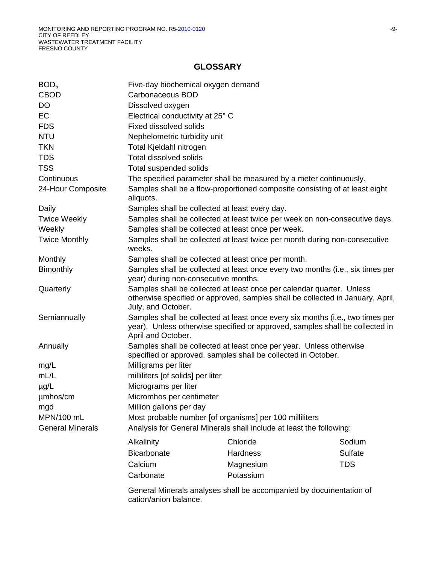### **GLOSSARY**

| BOD <sub>5</sub>        | Five-day biochemical oxygen demand                                                                                                                                                   |                                                                    |                                                                             |  |
|-------------------------|--------------------------------------------------------------------------------------------------------------------------------------------------------------------------------------|--------------------------------------------------------------------|-----------------------------------------------------------------------------|--|
| <b>CBOD</b>             | Carbonaceous BOD                                                                                                                                                                     |                                                                    |                                                                             |  |
| DO                      | Dissolved oxygen                                                                                                                                                                     |                                                                    |                                                                             |  |
| <b>EC</b>               | Electrical conductivity at 25° C                                                                                                                                                     |                                                                    |                                                                             |  |
| <b>FDS</b>              | <b>Fixed dissolved solids</b>                                                                                                                                                        |                                                                    |                                                                             |  |
| <b>NTU</b>              | Nephelometric turbidity unit                                                                                                                                                         |                                                                    |                                                                             |  |
| <b>TKN</b>              | Total Kjeldahl nitrogen                                                                                                                                                              |                                                                    |                                                                             |  |
| <b>TDS</b>              | Total dissolved solids                                                                                                                                                               |                                                                    |                                                                             |  |
| <b>TSS</b>              | Total suspended solids                                                                                                                                                               |                                                                    |                                                                             |  |
| Continuous              |                                                                                                                                                                                      | The specified parameter shall be measured by a meter continuously. |                                                                             |  |
| 24-Hour Composite       | Samples shall be a flow-proportioned composite consisting of at least eight<br>aliquots.                                                                                             |                                                                    |                                                                             |  |
| Daily                   | Samples shall be collected at least every day.                                                                                                                                       |                                                                    |                                                                             |  |
| <b>Twice Weekly</b>     |                                                                                                                                                                                      |                                                                    | Samples shall be collected at least twice per week on non-consecutive days. |  |
| Weekly                  | Samples shall be collected at least once per week.                                                                                                                                   |                                                                    |                                                                             |  |
| <b>Twice Monthly</b>    | Samples shall be collected at least twice per month during non-consecutive<br>weeks.                                                                                                 |                                                                    |                                                                             |  |
| Monthly                 | Samples shall be collected at least once per month.                                                                                                                                  |                                                                    |                                                                             |  |
| <b>Bimonthly</b>        | Samples shall be collected at least once every two months (i.e., six times per<br>year) during non-consecutive months.                                                               |                                                                    |                                                                             |  |
| Quarterly               | Samples shall be collected at least once per calendar quarter. Unless<br>otherwise specified or approved, samples shall be collected in January, April,<br>July, and October.        |                                                                    |                                                                             |  |
| Semiannually            | Samples shall be collected at least once every six months (i.e., two times per<br>year). Unless otherwise specified or approved, samples shall be collected in<br>April and October. |                                                                    |                                                                             |  |
| Annually                | Samples shall be collected at least once per year. Unless otherwise<br>specified or approved, samples shall be collected in October.                                                 |                                                                    |                                                                             |  |
| mg/L                    | Milligrams per liter                                                                                                                                                                 |                                                                    |                                                                             |  |
| mL/L                    | milliliters [of solids] per liter                                                                                                                                                    |                                                                    |                                                                             |  |
| $\mu$ g/L               | Micrograms per liter                                                                                                                                                                 |                                                                    |                                                                             |  |
| µmhos/cm                | Micromhos per centimeter                                                                                                                                                             |                                                                    |                                                                             |  |
| mgd                     | Million gallons per day                                                                                                                                                              |                                                                    |                                                                             |  |
| MPN/100 mL              | Most probable number [of organisms] per 100 milliliters                                                                                                                              |                                                                    |                                                                             |  |
| <b>General Minerals</b> | Analysis for General Minerals shall include at least the following:                                                                                                                  |                                                                    |                                                                             |  |
|                         | Alkalinity                                                                                                                                                                           | Chloride                                                           | Sodium                                                                      |  |
|                         | <b>Bicarbonate</b>                                                                                                                                                                   | Hardness                                                           | <b>Sulfate</b>                                                              |  |
|                         | Calcium                                                                                                                                                                              |                                                                    | <b>TDS</b>                                                                  |  |
|                         |                                                                                                                                                                                      | Magnesium                                                          |                                                                             |  |
|                         | Carbonate                                                                                                                                                                            | Potassium                                                          |                                                                             |  |
|                         |                                                                                                                                                                                      | General Minerals analyses shall be accompanied by documentation of |                                                                             |  |

cation/anion balance.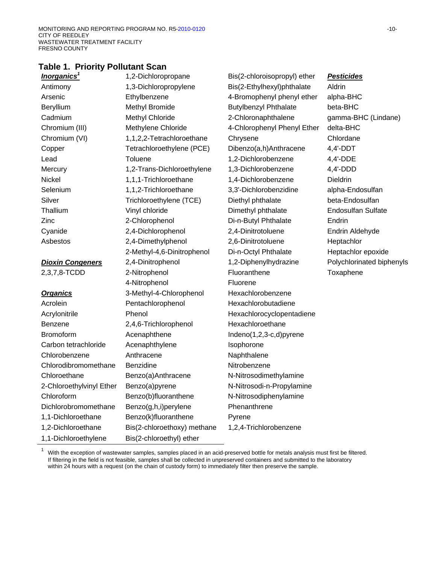### **Table 1. Priority Pollutant Scan**

| <b>Inorganics</b> <sup>1</sup> | 1,2-Dichloropropane         | Bis(2-chloroisopropyl) ether | <b>Pesticides</b>         |
|--------------------------------|-----------------------------|------------------------------|---------------------------|
| Antimony                       | 1,3-Dichloropropylene       | Bis(2-Ethylhexyl)phthalate   | Aldrin                    |
| Arsenic                        | Ethylbenzene                | 4-Bromophenyl phenyl ether   | alpha-BHC                 |
| Beryllium                      | Methyl Bromide              | <b>Butylbenzyl Phthalate</b> | beta-BHC                  |
| Cadmium                        | Methyl Chloride             | 2-Chloronaphthalene          | gamma-BHC (Lindane)       |
| Chromium (III)                 | Methylene Chloride          | 4-Chlorophenyl Phenyl Ether  | delta-BHC                 |
| Chromium (VI)                  | 1,1,2,2-Tetrachloroethane   | Chrysene                     | Chlordane                 |
| Copper                         | Tetrachloroethylene (PCE)   | Dibenzo(a,h)Anthracene       | $4,4'-DDT$                |
| Lead                           | Toluene                     | 1,2-Dichlorobenzene          | 4,4'-DDE                  |
| Mercury                        | 1,2-Trans-Dichloroethylene  | 1,3-Dichlorobenzene          | 4,4'-DDD                  |
| Nickel                         | 1,1,1-Trichloroethane       | 1,4-Dichlorobenzene          | Dieldrin                  |
| Selenium                       | 1,1,2-Trichloroethane       | 3,3'-Dichlorobenzidine       | alpha-Endosulfan          |
| Silver                         | Trichloroethylene (TCE)     | Diethyl phthalate            | beta-Endosulfan           |
| Thallium                       | Vinyl chloride              | Dimethyl phthalate           | <b>Endosulfan Sulfate</b> |
| Zinc                           | 2-Chlorophenol              | Di-n-Butyl Phthalate         | Endrin                    |
| Cyanide                        | 2,4-Dichlorophenol          | 2,4-Dinitrotoluene           | Endrin Aldehyde           |
| Asbestos                       | 2,4-Dimethylphenol          | 2,6-Dinitrotoluene           | Heptachlor                |
|                                | 2-Methyl-4,6-Dinitrophenol  | Di-n-Octyl Phthalate         | Heptachlor epoxide        |
| <b>Dioxin Congeners</b>        | 2,4-Dinitrophenol           | 1,2-Diphenylhydrazine        | Polychlorinated biphenyls |
| 2,3,7,8-TCDD                   | 2-Nitrophenol               | Fluoranthene                 | Toxaphene                 |
|                                | 4-Nitrophenol               | Fluorene                     |                           |
| <b>Organics</b>                | 3-Methyl-4-Chlorophenol     | Hexachlorobenzene            |                           |
| Acrolein                       | Pentachlorophenol           | Hexachlorobutadiene          |                           |
| Acrylonitrile                  | Phenol                      | Hexachlorocyclopentadiene    |                           |
| <b>Benzene</b>                 | 2,4,6-Trichlorophenol       | Hexachloroethane             |                           |
| <b>Bromoform</b>               | Acenaphthene                | Indeno(1,2,3-c,d)pyrene      |                           |
| Carbon tetrachloride           | Acenaphthylene              | Isophorone                   |                           |
| Chlorobenzene                  | Anthracene                  | Naphthalene                  |                           |
| Chlorodibromomethane           | Benzidine                   | Nitrobenzene                 |                           |
| Chloroethane                   | Benzo(a)Anthracene          | N-Nitrosodimethylamine       |                           |
| 2-Chloroethylvinyl Ether       | Benzo(a)pyrene              | N-Nitrosodi-n-Propylamine    |                           |
| Chloroform                     | Benzo(b)fluoranthene        | N-Nitrosodiphenylamine       |                           |
| Dichlorobromomethane           | Benzo(g,h,i)perylene        | Phenanthrene                 |                           |
| 1,1-Dichloroethane             | Benzo(k)fluoranthene        | Pyrene                       |                           |
| 1,2-Dichloroethane             | Bis(2-chloroethoxy) methane | 1,2,4-Trichlorobenzene       |                           |
| 1,1-Dichloroethylene           | Bis(2-chloroethyl) ether    |                              |                           |

<sup>1</sup> With the exception of wastewater samples, samples placed in an acid-preserved bottle for metals analysis must first be filtered. If filtering in the field is not feasible, samples shall be collected in unpreserved containers and submitted to the laboratory within 24 hours with a request (on the chain of custody form) to immediately filter then preserve the sample.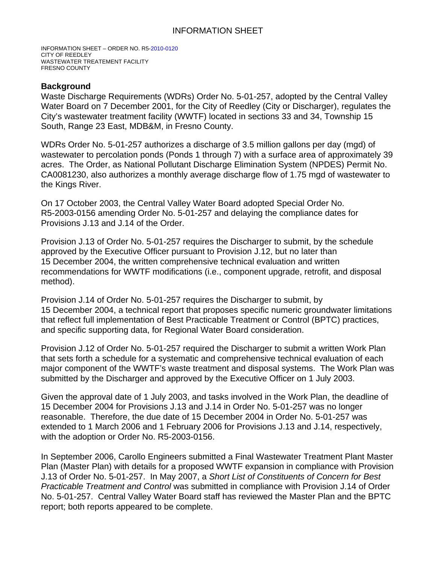# INFORMATION SHEET

INFORMATION SHEET – ORDER NO. R5-2010-0120 CITY OF REEDLEY WASTEWATER TREATEMENT FACILITY FRESNO COUNTY

### **Background**

Waste Discharge Requirements (WDRs) Order No. 5-01-257, adopted by the Central Valley Water Board on 7 December 2001, for the City of Reedley (City or Discharger), regulates the City's wastewater treatment facility (WWTF) located in sections 33 and 34, Township 15 South, Range 23 East, MDB&M, in Fresno County.

WDRs Order No. 5-01-257 authorizes a discharge of 3.5 million gallons per day (mgd) of wastewater to percolation ponds (Ponds 1 through 7) with a surface area of approximately 39 acres. The Order, as National Pollutant Discharge Elimination System (NPDES) Permit No. CA0081230, also authorizes a monthly average discharge flow of 1.75 mgd of wastewater to the Kings River.

On 17 October 2003, the Central Valley Water Board adopted Special Order No. R5-2003-0156 amending Order No. 5-01-257 and delaying the compliance dates for Provisions J.13 and J.14 of the Order.

Provision J.13 of Order No. 5-01-257 requires the Discharger to submit, by the schedule approved by the Executive Officer pursuant to Provision J.12, but no later than 15 December 2004, the written comprehensive technical evaluation and written recommendations for WWTF modifications (i.e., component upgrade, retrofit, and disposal method).

Provision J.14 of Order No. 5-01-257 requires the Discharger to submit, by 15 December 2004, a technical report that proposes specific numeric groundwater limitations that reflect full implementation of Best Practicable Treatment or Control (BPTC) practices, and specific supporting data, for Regional Water Board consideration.

Provision J.12 of Order No. 5-01-257 required the Discharger to submit a written Work Plan that sets forth a schedule for a systematic and comprehensive technical evaluation of each major component of the WWTF's waste treatment and disposal systems. The Work Plan was submitted by the Discharger and approved by the Executive Officer on 1 July 2003.

Given the approval date of 1 July 2003, and tasks involved in the Work Plan, the deadline of 15 December 2004 for Provisions J.13 and J.14 in Order No. 5-01-257 was no longer reasonable. Therefore, the due date of 15 December 2004 in Order No. 5-01-257 was extended to 1 March 2006 and 1 February 2006 for Provisions J.13 and J.14, respectively, with the adoption or Order No. R5-2003-0156.

In September 2006, Carollo Engineers submitted a Final Wastewater Treatment Plant Master Plan (Master Plan) with details for a proposed WWTF expansion in compliance with Provision J.13 of Order No. 5-01-257. In May 2007, a *Short List of Constituents of Concern for Best Practicable Treatment and Control* was submitted in compliance with Provision J.14 of Order No. 5-01-257. Central Valley Water Board staff has reviewed the Master Plan and the BPTC report; both reports appeared to be complete.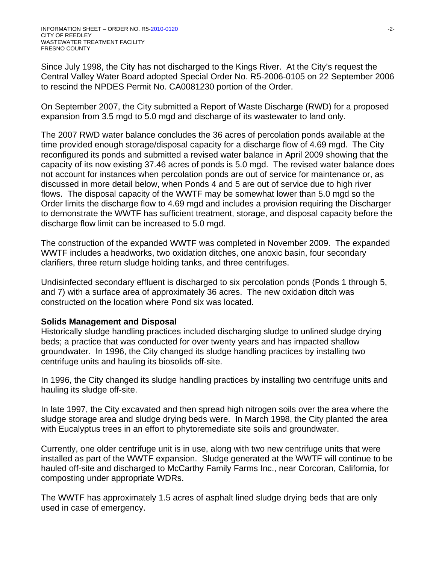Since July 1998, the City has not discharged to the Kings River. At the City's request the Central Valley Water Board adopted Special Order No. R5-2006-0105 on 22 September 2006 to rescind the NPDES Permit No. CA0081230 portion of the Order.

On September 2007, the City submitted a Report of Waste Discharge (RWD) for a proposed expansion from 3.5 mgd to 5.0 mgd and discharge of its wastewater to land only.

The 2007 RWD water balance concludes the 36 acres of percolation ponds available at the time provided enough storage/disposal capacity for a discharge flow of 4.69 mgd. The City reconfigured its ponds and submitted a revised water balance in April 2009 showing that the capacity of its now existing 37.46 acres of ponds is 5.0 mgd. The revised water balance does not account for instances when percolation ponds are out of service for maintenance or, as discussed in more detail below, when Ponds 4 and 5 are out of service due to high river flows. The disposal capacity of the WWTF may be somewhat lower than 5.0 mgd so the Order limits the discharge flow to 4.69 mgd and includes a provision requiring the Discharger to demonstrate the WWTF has sufficient treatment, storage, and disposal capacity before the discharge flow limit can be increased to 5.0 mgd.

The construction of the expanded WWTF was completed in November 2009. The expanded WWTF includes a headworks, two oxidation ditches, one anoxic basin, four secondary clarifiers, three return sludge holding tanks, and three centrifuges.

Undisinfected secondary effluent is discharged to six percolation ponds (Ponds 1 through 5, and 7) with a surface area of approximately 36 acres. The new oxidation ditch was constructed on the location where Pond six was located.

## **Solids Management and Disposal**

Historically sludge handling practices included discharging sludge to unlined sludge drying beds; a practice that was conducted for over twenty years and has impacted shallow groundwater. In 1996, the City changed its sludge handling practices by installing two centrifuge units and hauling its biosolids off-site.

In 1996, the City changed its sludge handling practices by installing two centrifuge units and hauling its sludge off-site.

In late 1997, the City excavated and then spread high nitrogen soils over the area where the sludge storage area and sludge drying beds were. In March 1998, the City planted the area with Eucalyptus trees in an effort to phytoremediate site soils and groundwater.

Currently, one older centrifuge unit is in use, along with two new centrifuge units that were installed as part of the WWTF expansion. Sludge generated at the WWTF will continue to be hauled off-site and discharged to McCarthy Family Farms Inc., near Corcoran, California, for composting under appropriate WDRs.

The WWTF has approximately 1.5 acres of asphalt lined sludge drying beds that are only used in case of emergency.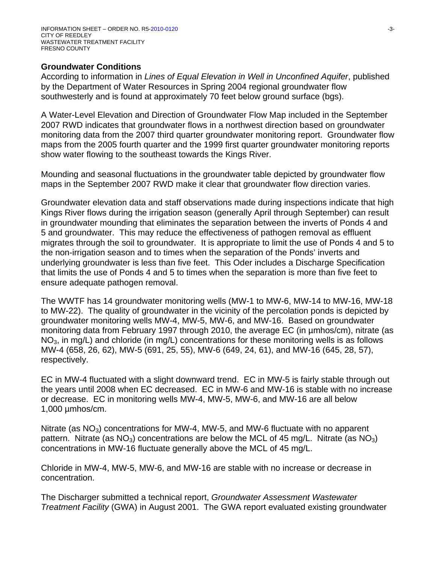## **Groundwater Conditions**

According to information in *Lines of Equal Elevation in Well in Unconfined Aquifer*, published by the Department of Water Resources in Spring 2004 regional groundwater flow southwesterly and is found at approximately 70 feet below ground surface (bgs).

A Water-Level Elevation and Direction of Groundwater Flow Map included in the September 2007 RWD indicates that groundwater flows in a northwest direction based on groundwater monitoring data from the 2007 third quarter groundwater monitoring report. Groundwater flow maps from the 2005 fourth quarter and the 1999 first quarter groundwater monitoring reports show water flowing to the southeast towards the Kings River.

Mounding and seasonal fluctuations in the groundwater table depicted by groundwater flow maps in the September 2007 RWD make it clear that groundwater flow direction varies.

Groundwater elevation data and staff observations made during inspections indicate that high Kings River flows during the irrigation season (generally April through September) can result in groundwater mounding that eliminates the separation between the inverts of Ponds 4 and 5 and groundwater. This may reduce the effectiveness of pathogen removal as effluent migrates through the soil to groundwater. It is appropriate to limit the use of Ponds 4 and 5 to the non-irrigation season and to times when the separation of the Ponds' inverts and underlying groundwater is less than five feet. This Oder includes a Discharge Specification that limits the use of Ponds 4 and 5 to times when the separation is more than five feet to ensure adequate pathogen removal.

The WWTF has 14 groundwater monitoring wells (MW-1 to MW-6, MW-14 to MW-16, MW-18 to MW-22). The quality of groundwater in the vicinity of the percolation ponds is depicted by groundwater monitoring wells MW-4, MW-5, MW-6, and MW-16. Based on groundwater monitoring data from February 1997 through 2010, the average EC (in µmhos/cm), nitrate (as  $NO<sub>3</sub>$ , in mg/L) and chloride (in mg/L) concentrations for these monitoring wells is as follows MW-4 (658, 26, 62), MW-5 (691, 25, 55), MW-6 (649, 24, 61), and MW-16 (645, 28, 57), respectively.

EC in MW-4 fluctuated with a slight downward trend. EC in MW-5 is fairly stable through out the years until 2008 when EC decreased. EC in MW-6 and MW-16 is stable with no increase or decrease. EC in monitoring wells MW-4, MW-5, MW-6, and MW-16 are all below 1,000 µmhos/cm.

Nitrate (as  $NO<sub>3</sub>$ ) concentrations for MW-4, MW-5, and MW-6 fluctuate with no apparent pattern. Nitrate (as  $NO<sub>3</sub>$ ) concentrations are below the MCL of 45 mg/L. Nitrate (as  $NO<sub>3</sub>$ ) concentrations in MW-16 fluctuate generally above the MCL of 45 mg/L.

Chloride in MW-4, MW-5, MW-6, and MW-16 are stable with no increase or decrease in concentration.

The Discharger submitted a technical report, *Groundwater Assessment Wastewater Treatment Facility* (GWA) in August 2001. The GWA report evaluated existing groundwater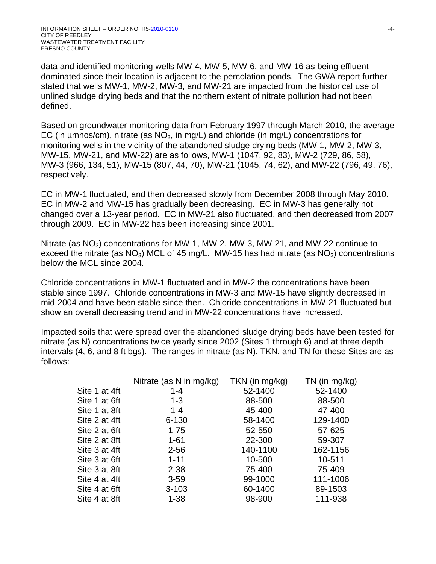data and identified monitoring wells MW-4, MW-5, MW-6, and MW-16 as being effluent dominated since their location is adjacent to the percolation ponds. The GWA report further stated that wells MW-1, MW-2, MW-3, and MW-21 are impacted from the historical use of unlined sludge drying beds and that the northern extent of nitrate pollution had not been defined.

Based on groundwater monitoring data from February 1997 through March 2010, the average EC (in  $\mu$ mhos/cm), nitrate (as NO<sub>3</sub>, in mg/L) and chloride (in mg/L) concentrations for monitoring wells in the vicinity of the abandoned sludge drying beds (MW-1, MW-2, MW-3, MW-15, MW-21, and MW-22) are as follows, MW-1 (1047, 92, 83), MW-2 (729, 86, 58), MW-3 (966, 134, 51), MW-15 (807, 44, 70), MW-21 (1045, 74, 62), and MW-22 (796, 49, 76), respectively.

EC in MW-1 fluctuated, and then decreased slowly from December 2008 through May 2010. EC in MW-2 and MW-15 has gradually been decreasing. EC in MW-3 has generally not changed over a 13-year period. EC in MW-21 also fluctuated, and then decreased from 2007 through 2009. EC in MW-22 has been increasing since 2001.

Nitrate (as  $NO<sub>3</sub>$ ) concentrations for MW-1, MW-2, MW-3, MW-21, and MW-22 continue to exceed the nitrate (as  $NO<sub>3</sub>$ ) MCL of 45 mg/L. MW-15 has had nitrate (as  $NO<sub>3</sub>$ ) concentrations below the MCL since 2004.

Chloride concentrations in MW-1 fluctuated and in MW-2 the concentrations have been stable since 1997. Chloride concentrations in MW-3 and MW-15 have slightly decreased in mid-2004 and have been stable since then. Chloride concentrations in MW-21 fluctuated but show an overall decreasing trend and in MW-22 concentrations have increased.

Impacted soils that were spread over the abandoned sludge drying beds have been tested for nitrate (as N) concentrations twice yearly since 2002 (Sites 1 through 6) and at three depth intervals (4, 6, and 8 ft bgs). The ranges in nitrate (as N), TKN, and TN for these Sites are as follows:

| Nitrate (as N in mg/kg) | TKN (in mg/kg) | $TN$ (in mg/kg) |
|-------------------------|----------------|-----------------|
| $1 - 4$                 | 52-1400        | 52-1400         |
| $1 - 3$                 | 88-500         | 88-500          |
| $1 - 4$                 | 45-400         | 47-400          |
| $6 - 130$               | 58-1400        | 129-1400        |
| $1 - 75$                | 52-550         | 57-625          |
| $1 - 61$                | 22-300         | 59-307          |
| $2 - 56$                | 140-1100       | 162-1156        |
| $1 - 11$                | 10-500         | 10-511          |
| $2 - 38$                | 75-400         | 75-409          |
| $3 - 59$                | 99-1000        | 111-1006        |
| $3 - 103$               | 60-1400        | 89-1503         |
| $1 - 38$                | 98-900         | 111-938         |
|                         |                |                 |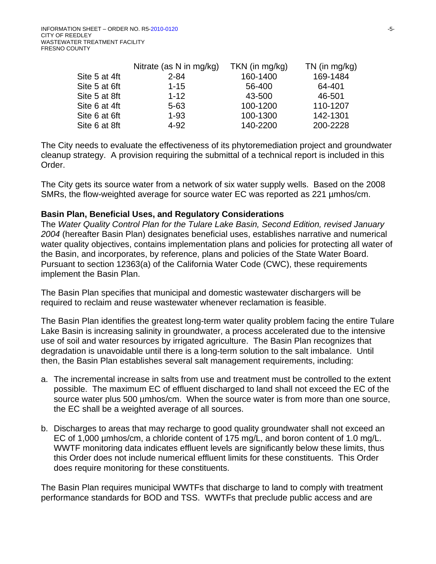|               | Nitrate (as N in mg/kg) | $TKN$ (in mg/kg) | $TN$ (in mg/kg) |
|---------------|-------------------------|------------------|-----------------|
| Site 5 at 4ft | $2 - 84$                | 160-1400         | 169-1484        |
| Site 5 at 6ft | $1 - 15$                | 56-400           | 64-401          |
| Site 5 at 8ft | $1 - 12$                | 43-500           | 46-501          |
| Site 6 at 4ft | $5 - 63$                | 100-1200         | 110-1207        |
| Site 6 at 6ft | $1 - 93$                | 100-1300         | 142-1301        |
| Site 6 at 8ft | $4 - 92$                | 140-2200         | 200-2228        |

The City needs to evaluate the effectiveness of its phytoremediation project and groundwater cleanup strategy. A provision requiring the submittal of a technical report is included in this Order.

The City gets its source water from a network of six water supply wells. Based on the 2008 SMRs, the flow-weighted average for source water EC was reported as 221 µmhos/cm.

### **Basin Plan, Beneficial Uses, and Regulatory Considerations**

The *Water Quality Control Plan for the Tulare Lake Basin, Second Edition, revised January 2004* (hereafter Basin Plan) designates beneficial uses, establishes narrative and numerical water quality objectives, contains implementation plans and policies for protecting all water of the Basin, and incorporates, by reference, plans and policies of the State Water Board. Pursuant to section 12363(a) of the California Water Code (CWC), these requirements implement the Basin Plan.

The Basin Plan specifies that municipal and domestic wastewater dischargers will be required to reclaim and reuse wastewater whenever reclamation is feasible.

The Basin Plan identifies the greatest long-term water quality problem facing the entire Tulare Lake Basin is increasing salinity in groundwater, a process accelerated due to the intensive use of soil and water resources by irrigated agriculture. The Basin Plan recognizes that degradation is unavoidable until there is a long-term solution to the salt imbalance. Until then, the Basin Plan establishes several salt management requirements, including:

- a. The incremental increase in salts from use and treatment must be controlled to the extent possible. The maximum EC of effluent discharged to land shall not exceed the EC of the source water plus 500 µmhos/cm. When the source water is from more than one source, the EC shall be a weighted average of all sources.
- b. Discharges to areas that may recharge to good quality groundwater shall not exceed an EC of 1,000 µmhos/cm, a chloride content of 175 mg/L, and boron content of 1.0 mg/L. WWTF monitoring data indicates effluent levels are significantly below these limits, thus this Order does not include numerical effluent limits for these constituents. This Order does require monitoring for these constituents.

The Basin Plan requires municipal WWTFs that discharge to land to comply with treatment performance standards for BOD and TSS. WWTFs that preclude public access and are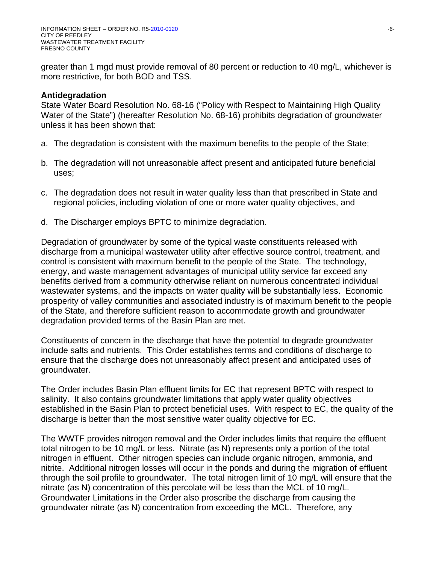greater than 1 mgd must provide removal of 80 percent or reduction to 40 mg/L, whichever is more restrictive, for both BOD and TSS.

### **Antidegradation**

State Water Board Resolution No. 68-16 ("Policy with Respect to Maintaining High Quality Water of the State") (hereafter Resolution No. 68-16) prohibits degradation of groundwater unless it has been shown that:

- a. The degradation is consistent with the maximum benefits to the people of the State;
- b. The degradation will not unreasonable affect present and anticipated future beneficial uses;
- c. The degradation does not result in water quality less than that prescribed in State and regional policies, including violation of one or more water quality objectives, and
- d. The Discharger employs BPTC to minimize degradation.

Degradation of groundwater by some of the typical waste constituents released with discharge from a municipal wastewater utility after effective source control, treatment, and control is consistent with maximum benefit to the people of the State. The technology, energy, and waste management advantages of municipal utility service far exceed any benefits derived from a community otherwise reliant on numerous concentrated individual wastewater systems, and the impacts on water quality will be substantially less. Economic prosperity of valley communities and associated industry is of maximum benefit to the people of the State, and therefore sufficient reason to accommodate growth and groundwater degradation provided terms of the Basin Plan are met.

Constituents of concern in the discharge that have the potential to degrade groundwater include salts and nutrients. This Order establishes terms and conditions of discharge to ensure that the discharge does not unreasonably affect present and anticipated uses of groundwater.

The Order includes Basin Plan effluent limits for EC that represent BPTC with respect to salinity. It also contains groundwater limitations that apply water quality objectives established in the Basin Plan to protect beneficial uses. With respect to EC, the quality of the discharge is better than the most sensitive water quality objective for EC.

The WWTF provides nitrogen removal and the Order includes limits that require the effluent total nitrogen to be 10 mg/L or less. Nitrate (as N) represents only a portion of the total nitrogen in effluent. Other nitrogen species can include organic nitrogen, ammonia, and nitrite. Additional nitrogen losses will occur in the ponds and during the migration of effluent through the soil profile to groundwater. The total nitrogen limit of 10 mg/L will ensure that the nitrate (as N) concentration of this percolate will be less than the MCL of 10 mg/L. Groundwater Limitations in the Order also proscribe the discharge from causing the groundwater nitrate (as N) concentration from exceeding the MCL. Therefore, any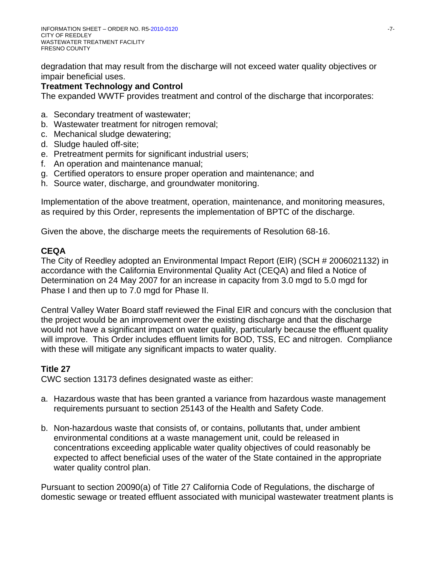degradation that may result from the discharge will not exceed water quality objectives or impair beneficial uses.

# **Treatment Technology and Control**

The expanded WWTF provides treatment and control of the discharge that incorporates:

- a. Secondary treatment of wastewater;
- b. Wastewater treatment for nitrogen removal;
- c. Mechanical sludge dewatering;
- d. Sludge hauled off-site;
- e. Pretreatment permits for significant industrial users;
- f. An operation and maintenance manual;
- g. Certified operators to ensure proper operation and maintenance; and
- h. Source water, discharge, and groundwater monitoring.

Implementation of the above treatment, operation, maintenance, and monitoring measures, as required by this Order, represents the implementation of BPTC of the discharge.

Given the above, the discharge meets the requirements of Resolution 68-16.

# **CEQA**

The City of Reedley adopted an Environmental Impact Report (EIR) (SCH # 2006021132) in accordance with the California Environmental Quality Act (CEQA) and filed a Notice of Determination on 24 May 2007 for an increase in capacity from 3.0 mgd to 5.0 mgd for Phase I and then up to 7.0 mgd for Phase II.

Central Valley Water Board staff reviewed the Final EIR and concurs with the conclusion that the project would be an improvement over the existing discharge and that the discharge would not have a significant impact on water quality, particularly because the effluent quality will improve. This Order includes effluent limits for BOD, TSS, EC and nitrogen. Compliance with these will mitigate any significant impacts to water quality.

# **Title 27**

CWC section 13173 defines designated waste as either:

- a. Hazardous waste that has been granted a variance from hazardous waste management requirements pursuant to section 25143 of the Health and Safety Code.
- b. Non-hazardous waste that consists of, or contains, pollutants that, under ambient environmental conditions at a waste management unit, could be released in concentrations exceeding applicable water quality objectives of could reasonably be expected to affect beneficial uses of the water of the State contained in the appropriate water quality control plan.

Pursuant to section 20090(a) of Title 27 California Code of Regulations, the discharge of domestic sewage or treated effluent associated with municipal wastewater treatment plants is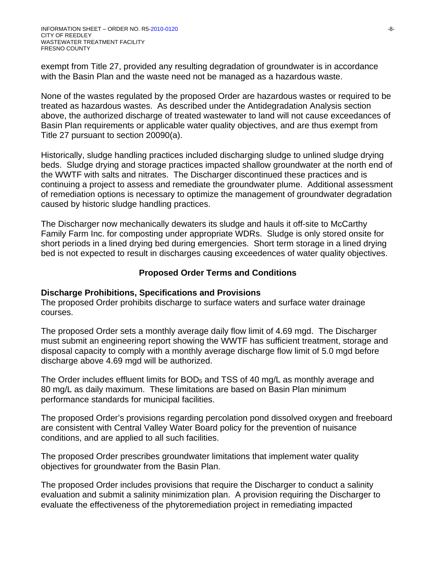exempt from Title 27, provided any resulting degradation of groundwater is in accordance with the Basin Plan and the waste need not be managed as a hazardous waste.

None of the wastes regulated by the proposed Order are hazardous wastes or required to be treated as hazardous wastes. As described under the Antidegradation Analysis section above, the authorized discharge of treated wastewater to land will not cause exceedances of Basin Plan requirements or applicable water quality objectives, and are thus exempt from Title 27 pursuant to section 20090(a).

Historically, sludge handling practices included discharging sludge to unlined sludge drying beds. Sludge drying and storage practices impacted shallow groundwater at the north end of the WWTF with salts and nitrates. The Discharger discontinued these practices and is continuing a project to assess and remediate the groundwater plume. Additional assessment of remediation options is necessary to optimize the management of groundwater degradation caused by historic sludge handling practices.

The Discharger now mechanically dewaters its sludge and hauls it off-site to McCarthy Family Farm Inc. for composting under appropriate WDRs. Sludge is only stored onsite for short periods in a lined drying bed during emergencies. Short term storage in a lined drying bed is not expected to result in discharges causing exceedences of water quality objectives.

# **Proposed Order Terms and Conditions**

## **Discharge Prohibitions, Specifications and Provisions**

The proposed Order prohibits discharge to surface waters and surface water drainage courses.

The proposed Order sets a monthly average daily flow limit of 4.69 mgd. The Discharger must submit an engineering report showing the WWTF has sufficient treatment, storage and disposal capacity to comply with a monthly average discharge flow limit of 5.0 mgd before discharge above 4.69 mgd will be authorized.

The Order includes effluent limits for  $BOD<sub>5</sub>$  and TSS of 40 mg/L as monthly average and 80 mg/L as daily maximum. These limitations are based on Basin Plan minimum performance standards for municipal facilities.

The proposed Order's provisions regarding percolation pond dissolved oxygen and freeboard are consistent with Central Valley Water Board policy for the prevention of nuisance conditions, and are applied to all such facilities.

The proposed Order prescribes groundwater limitations that implement water quality objectives for groundwater from the Basin Plan.

The proposed Order includes provisions that require the Discharger to conduct a salinity evaluation and submit a salinity minimization plan. A provision requiring the Discharger to evaluate the effectiveness of the phytoremediation project in remediating impacted